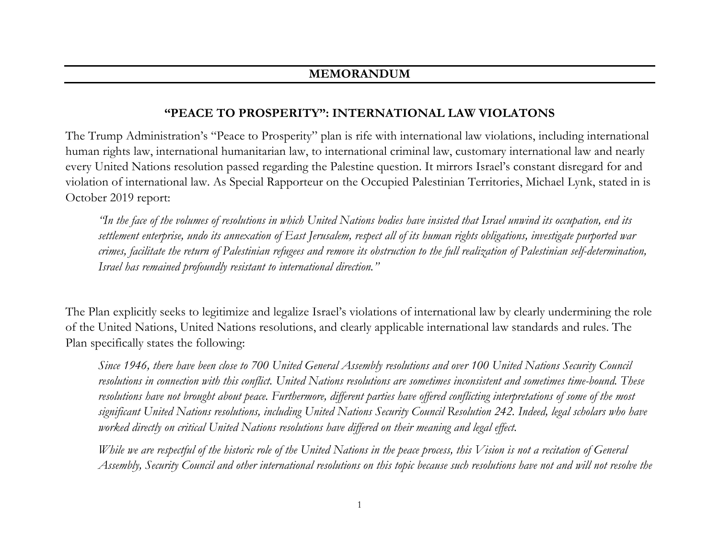## **"PEACE TO PROSPERITY": INTERNATIONAL LAW VIOLATONS**

The Trump Administration's "Peace to Prosperity" plan is rife with international law violations, including international human rights law, international humanitarian law, to international criminal law, customary international law and nearly every United Nations resolution passed regarding the Palestine question. It mirrors Israel's constant disregard for and violation of international law. As Special Rapporteur on the Occupied Palestinian Territories, Michael Lynk, stated in is October 2019 report:

*"In the face of the volumes of resolutions in which United Nations bodies have insisted that Israel unwind its occupation, end its settlement enterprise, undo its annexation of East Jerusalem, respect all of its human rights obligations, investigate purported war crimes, facilitate the return of Palestinian refugees and remove its obstruction to the full realization of Palestinian self-determination, Israel has remained profoundly resistant to international direction."*

The Plan explicitly seeks to legitimize and legalize Israel's violations of international law by clearly undermining the role of the United Nations, United Nations resolutions, and clearly applicable international law standards and rules. The Plan specifically states the following:

*Since 1946, there have been close to 700 United General Assembly resolutions and over 100 United Nations Security Council resolutions in connection with this conflict. United Nations resolutions are sometimes inconsistent and sometimes time-bound. These resolutions have not brought about peace. Furthermore, different parties have offered conflicting interpretations of some of the most significant United Nations resolutions, including United Nations Security Council Resolution 242. Indeed, legal scholars who have worked directly on critical United Nations resolutions have differed on their meaning and legal effect.* 

*While we are respectful of the historic role of the United Nations in the peace process, this Vision is not a recitation of General Assembly, Security Council and other international resolutions on this topic because such resolutions have not and will not resolve the*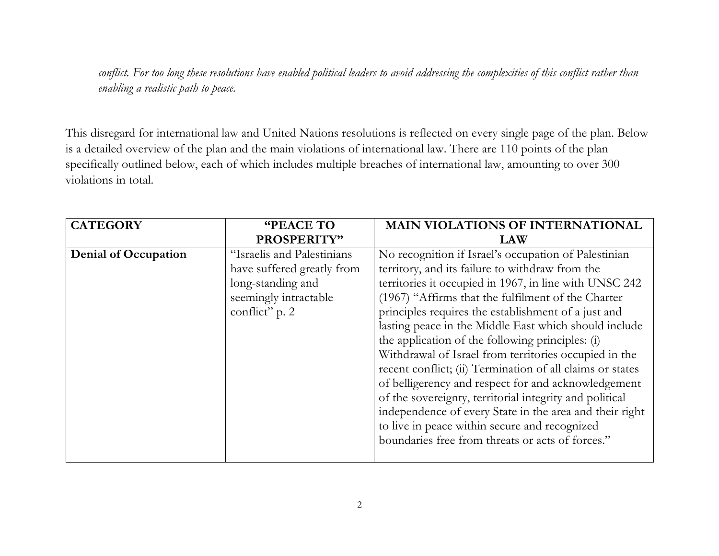*conflict. For too long these resolutions have enabled political leaders to avoid addressing the complexities of this conflict rather than enabling a realistic path to peace.*

This disregard for international law and United Nations resolutions is reflected on every single page of the plan. Below is a detailed overview of the plan and the main violations of international law. There are 110 points of the plan specifically outlined below, each of which includes multiple breaches of international law, amounting to over 300 violations in total.

| <b>CATEGORY</b>      | "PEACE TO                  | <b>MAIN VIOLATIONS OF INTERNATIONAL</b>                   |
|----------------------|----------------------------|-----------------------------------------------------------|
|                      | PROSPERITY"                | <b>LAW</b>                                                |
| Denial of Occupation | "Israelis and Palestinians | No recognition if Israel's occupation of Palestinian      |
|                      | have suffered greatly from | territory, and its failure to withdraw from the           |
|                      | long-standing and          | territories it occupied in 1967, in line with UNSC 242    |
|                      | seemingly intractable      | (1967) "Affirms that the fulfilment of the Charter        |
|                      | conflict" p. 2             | principles requires the establishment of a just and       |
|                      |                            | lasting peace in the Middle East which should include     |
|                      |                            | the application of the following principles: (i)          |
|                      |                            | Withdrawal of Israel from territories occupied in the     |
|                      |                            | recent conflict; (ii) Termination of all claims or states |
|                      |                            | of belligerency and respect for and acknowledgement       |
|                      |                            | of the sovereignty, territorial integrity and political   |
|                      |                            | independence of every State in the area and their right   |
|                      |                            | to live in peace within secure and recognized             |
|                      |                            | boundaries free from threats or acts of forces."          |
|                      |                            |                                                           |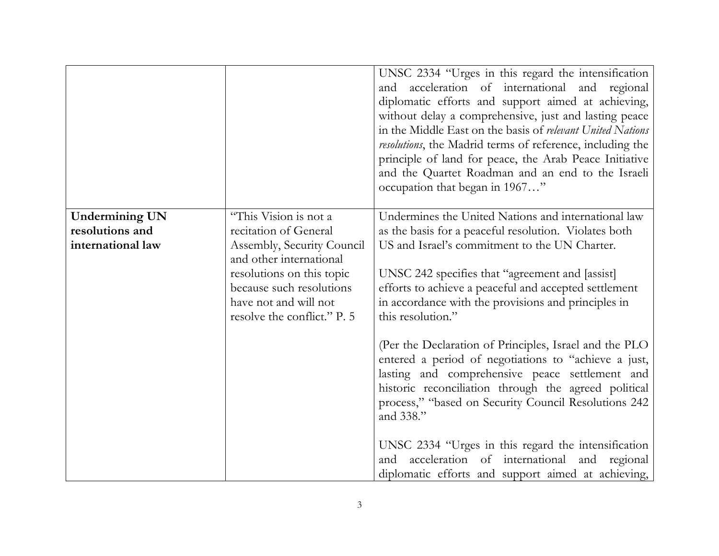|                       |                                                                                                                                          | UNSC 2334 "Urges in this regard the intensification<br>and acceleration of international and regional<br>diplomatic efforts and support aimed at achieving,<br>without delay a comprehensive, just and lasting peace<br>in the Middle East on the basis of relevant United Nations<br>resolutions, the Madrid terms of reference, including the<br>principle of land for peace, the Arab Peace Initiative<br>and the Quartet Roadman and an end to the Israeli<br>occupation that began in 1967" |
|-----------------------|------------------------------------------------------------------------------------------------------------------------------------------|--------------------------------------------------------------------------------------------------------------------------------------------------------------------------------------------------------------------------------------------------------------------------------------------------------------------------------------------------------------------------------------------------------------------------------------------------------------------------------------------------|
| <b>Undermining UN</b> | "This Vision is not a                                                                                                                    | Undermines the United Nations and international law                                                                                                                                                                                                                                                                                                                                                                                                                                              |
| resolutions and       | recitation of General                                                                                                                    | as the basis for a peaceful resolution. Violates both                                                                                                                                                                                                                                                                                                                                                                                                                                            |
| international law     | Assembly, Security Council                                                                                                               | US and Israel's commitment to the UN Charter.                                                                                                                                                                                                                                                                                                                                                                                                                                                    |
|                       | and other international<br>resolutions on this topic<br>because such resolutions<br>have not and will not<br>resolve the conflict." P. 5 | UNSC 242 specifies that "agreement and [assist]<br>efforts to achieve a peaceful and accepted settlement<br>in accordance with the provisions and principles in<br>this resolution."                                                                                                                                                                                                                                                                                                             |
|                       |                                                                                                                                          | (Per the Declaration of Principles, Israel and the PLO<br>entered a period of negotiations to "achieve a just,<br>lasting and comprehensive peace settlement and<br>historic reconciliation through the agreed political<br>process," "based on Security Council Resolutions 242<br>and 338."                                                                                                                                                                                                    |
|                       |                                                                                                                                          | UNSC 2334 "Urges in this regard the intensification<br>acceleration of international and regional<br>and<br>diplomatic efforts and support aimed at achieving,                                                                                                                                                                                                                                                                                                                                   |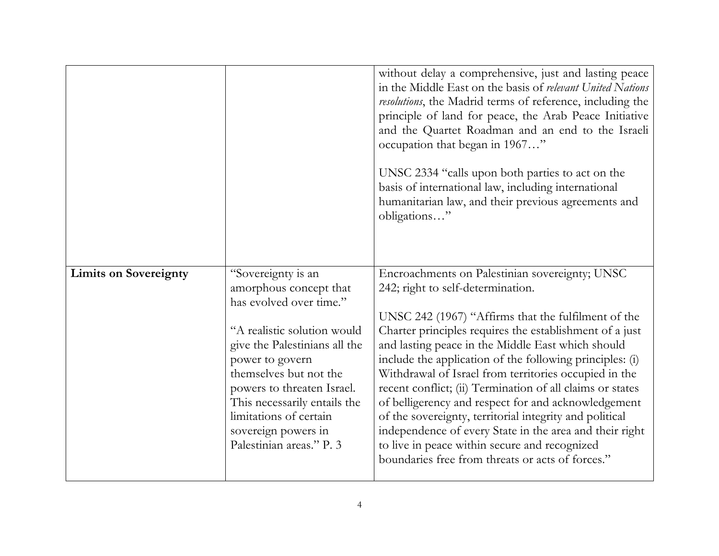|                              |                                                                                                                                                                                                                                                                                                                                 | without delay a comprehensive, just and lasting peace<br>in the Middle East on the basis of relevant United Nations<br>resolutions, the Madrid terms of reference, including the<br>principle of land for peace, the Arab Peace Initiative<br>and the Quartet Roadman and an end to the Israeli<br>occupation that began in 1967"<br>UNSC 2334 "calls upon both parties to act on the<br>basis of international law, including international<br>humanitarian law, and their previous agreements and<br>obligations"                                                                                                                                                                                                            |
|------------------------------|---------------------------------------------------------------------------------------------------------------------------------------------------------------------------------------------------------------------------------------------------------------------------------------------------------------------------------|--------------------------------------------------------------------------------------------------------------------------------------------------------------------------------------------------------------------------------------------------------------------------------------------------------------------------------------------------------------------------------------------------------------------------------------------------------------------------------------------------------------------------------------------------------------------------------------------------------------------------------------------------------------------------------------------------------------------------------|
| <b>Limits on Sovereignty</b> | "Sovereignty is an<br>amorphous concept that<br>has evolved over time."<br>"A realistic solution would<br>give the Palestinians all the<br>power to govern<br>themselves but not the<br>powers to threaten Israel.<br>This necessarily entails the<br>limitations of certain<br>sovereign powers in<br>Palestinian areas." P. 3 | Encroachments on Palestinian sovereignty; UNSC<br>242; right to self-determination.<br>UNSC 242 (1967) "Affirms that the fulfilment of the<br>Charter principles requires the establishment of a just<br>and lasting peace in the Middle East which should<br>include the application of the following principles: (i)<br>Withdrawal of Israel from territories occupied in the<br>recent conflict; (ii) Termination of all claims or states<br>of belligerency and respect for and acknowledgement<br>of the sovereignty, territorial integrity and political<br>independence of every State in the area and their right<br>to live in peace within secure and recognized<br>boundaries free from threats or acts of forces." |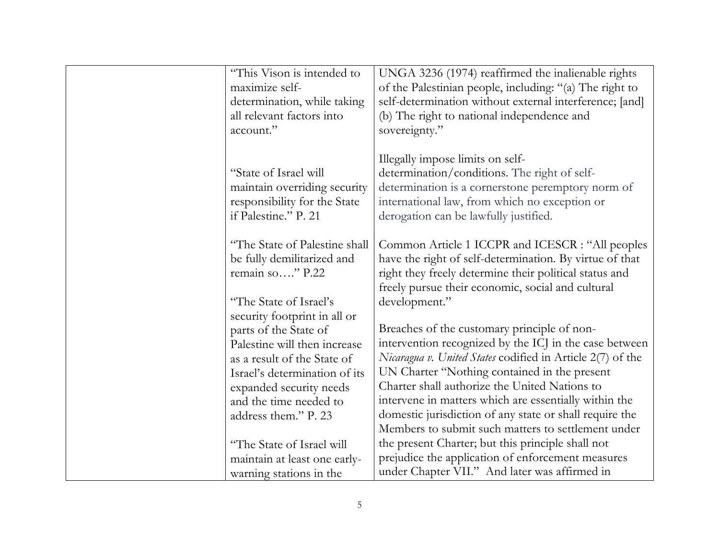| "This Vison is intended to<br>maximize self-<br>determination, while taking<br>all relevant factors into<br>account."                                                                                                              | UNGA 3236 (1974) reaffirmed the inalienable rights<br>of the Palestinian people, including: "(a) The right to<br>self-determination without external interference; [and]<br>(b) The right to national independence and<br>sovereignty."                                                                                                                                                                                                        |
|------------------------------------------------------------------------------------------------------------------------------------------------------------------------------------------------------------------------------------|------------------------------------------------------------------------------------------------------------------------------------------------------------------------------------------------------------------------------------------------------------------------------------------------------------------------------------------------------------------------------------------------------------------------------------------------|
| "State of Israel will<br>maintain overriding security<br>responsibility for the State<br>if Palestine." P. 21                                                                                                                      | Illegally impose limits on self-<br>determination/conditions. The right of self-<br>determination is a cornerstone peremptory norm of<br>international law, from which no exception or<br>derogation can be lawfully justified.                                                                                                                                                                                                                |
| "The State of Palestine shall<br>be fully demilitarized and<br>remain so" P.22<br>"The State of Israel's                                                                                                                           | Common Article 1 ICCPR and ICESCR : "All peoples<br>have the right of self-determination. By virtue of that<br>right they freely determine their political status and<br>freely pursue their economic, social and cultural<br>development."                                                                                                                                                                                                    |
| security footprint in all or<br>parts of the State of<br>Palestine will then increase<br>as a result of the State of<br>Israel's determination of its<br>expanded security needs<br>and the time needed to<br>address them." P. 23 | Breaches of the customary principle of non-<br>intervention recognized by the ICJ in the case between<br>Nicaragua v. United States codified in Article 2(7) of the<br>UN Charter "Nothing contained in the present<br>Charter shall authorize the United Nations to<br>intervene in matters which are essentially within the<br>domestic jurisdiction of any state or shall require the<br>Members to submit such matters to settlement under |
| "The State of Israel will<br>maintain at least one early-<br>warning stations in the                                                                                                                                               | the present Charter; but this principle shall not<br>prejudice the application of enforcement measures<br>under Chapter VII." And later was affirmed in                                                                                                                                                                                                                                                                                        |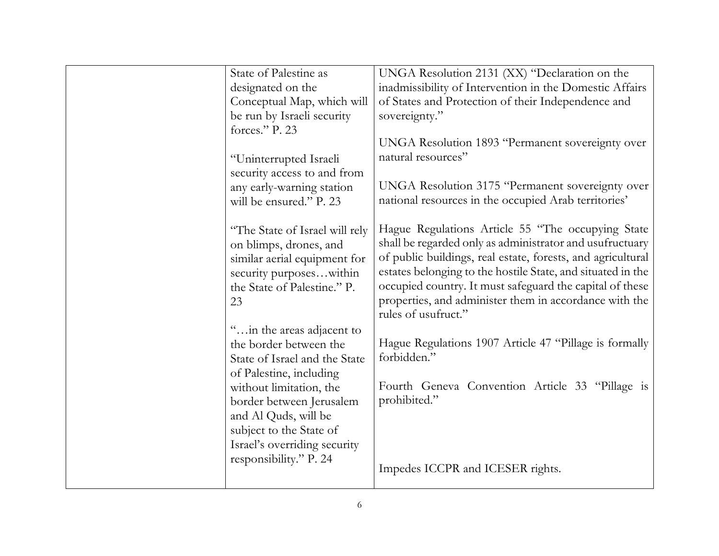| State of Palestine as          | UNGA Resolution 2131 (XX) "Declaration on the               |
|--------------------------------|-------------------------------------------------------------|
| designated on the              | inadmissibility of Intervention in the Domestic Affairs     |
| Conceptual Map, which will     | of States and Protection of their Independence and          |
| be run by Israeli security     | sovereignty."                                               |
| forces." P. 23                 |                                                             |
|                                | UNGA Resolution 1893 "Permanent sovereignty over            |
| "Uninterrupted Israeli         | natural resources"                                          |
| security access to and from    |                                                             |
| any early-warning station      | UNGA Resolution 3175 "Permanent sovereignty over            |
| will be ensured." P. 23        | national resources in the occupied Arab territories'        |
|                                |                                                             |
| "The State of Israel will rely | Hague Regulations Article 55 "The occupying State           |
| on blimps, drones, and         | shall be regarded only as administrator and usufructuary    |
| similar aerial equipment for   | of public buildings, real estate, forests, and agricultural |
| security purposeswithin        | estates belonging to the hostile State, and situated in the |
| the State of Palestine." P.    | occupied country. It must safeguard the capital of these    |
| 23                             | properties, and administer them in accordance with the      |
|                                | rules of usufruct."                                         |
| " in the areas adjacent to     |                                                             |
| the border between the         | Hague Regulations 1907 Article 47 "Pillage is formally      |
| State of Israel and the State  | forbidden."                                                 |
| of Palestine, including        |                                                             |
| without limitation, the        | Fourth Geneva Convention Article 33 "Pillage is             |
| border between Jerusalem       | prohibited."                                                |
| and Al Quds, will be           |                                                             |
| subject to the State of        |                                                             |
| Israel's overriding security   |                                                             |
| responsibility." P. 24         |                                                             |
|                                | Impedes ICCPR and ICESER rights.                            |
|                                |                                                             |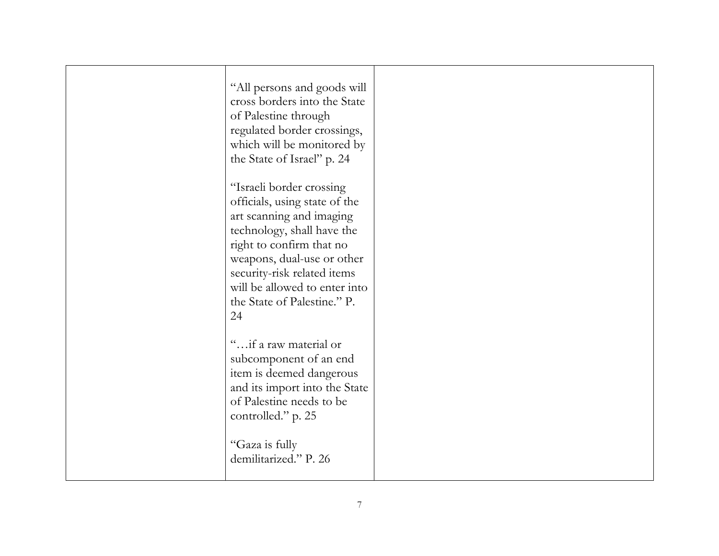| "All persons and goods will<br>cross borders into the State<br>of Palestine through<br>regulated border crossings,<br>which will be monitored by<br>the State of Israel" p. 24                                                                                                     |  |
|------------------------------------------------------------------------------------------------------------------------------------------------------------------------------------------------------------------------------------------------------------------------------------|--|
| "Israeli border crossing<br>officials, using state of the<br>art scanning and imaging<br>technology, shall have the<br>right to confirm that no<br>weapons, dual-use or other<br>security-risk related items<br>will be allowed to enter into<br>the State of Palestine." P.<br>24 |  |
| "if a raw material or<br>subcomponent of an end<br>item is deemed dangerous<br>and its import into the State<br>of Palestine needs to be<br>controlled." p. 25<br>"Gaza is fully<br>demilitarized." P. 26                                                                          |  |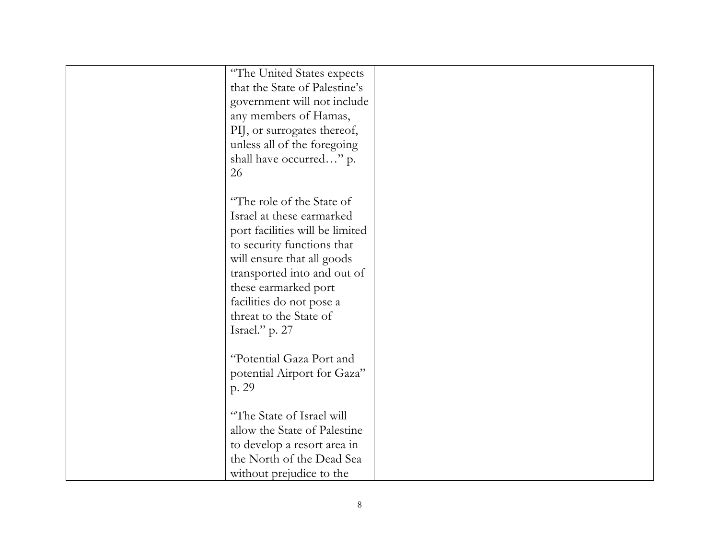| "The United States expects      |  |
|---------------------------------|--|
| that the State of Palestine's   |  |
| government will not include     |  |
| any members of Hamas,           |  |
| PIJ, or surrogates thereof,     |  |
| unless all of the foregoing     |  |
| shall have occurred" p.         |  |
| 26                              |  |
|                                 |  |
| "The role of the State of       |  |
| Israel at these earmarked       |  |
| port facilities will be limited |  |
| to security functions that      |  |
| will ensure that all goods      |  |
| transported into and out of     |  |
| these earmarked port            |  |
| facilities do not pose a        |  |
| threat to the State of          |  |
| Israel." p. 27                  |  |
|                                 |  |
| "Potential Gaza Port and        |  |
| potential Airport for Gaza"     |  |
| p. 29                           |  |
|                                 |  |
| "The State of Israel will       |  |
| allow the State of Palestine    |  |
| to develop a resort area in     |  |
| the North of the Dead Sea       |  |
| without prejudice to the        |  |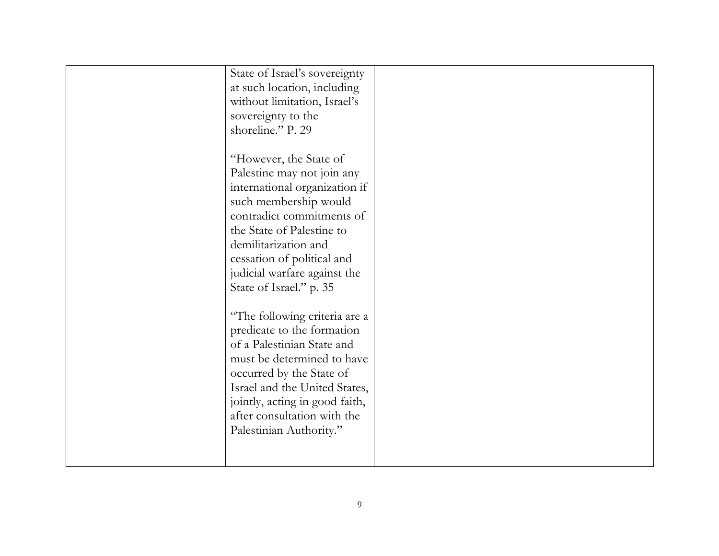| State of Israel's sovereignty<br>at such location, including<br>without limitation, Israel's<br>sovereignty to the<br>shoreline." P. 29                                                                                                                                                                     |  |
|-------------------------------------------------------------------------------------------------------------------------------------------------------------------------------------------------------------------------------------------------------------------------------------------------------------|--|
| "However, the State of<br>Palestine may not join any<br>international organization if<br>such membership would<br>contradict commitments of<br>the State of Palestine to<br>demilitarization and<br>cessation of political and<br>judicial warfare against the                                              |  |
| State of Israel." p. 35<br>"The following criteria are a<br>predicate to the formation<br>of a Palestinian State and<br>must be determined to have<br>occurred by the State of<br>Israel and the United States,<br>jointly, acting in good faith,<br>after consultation with the<br>Palestinian Authority." |  |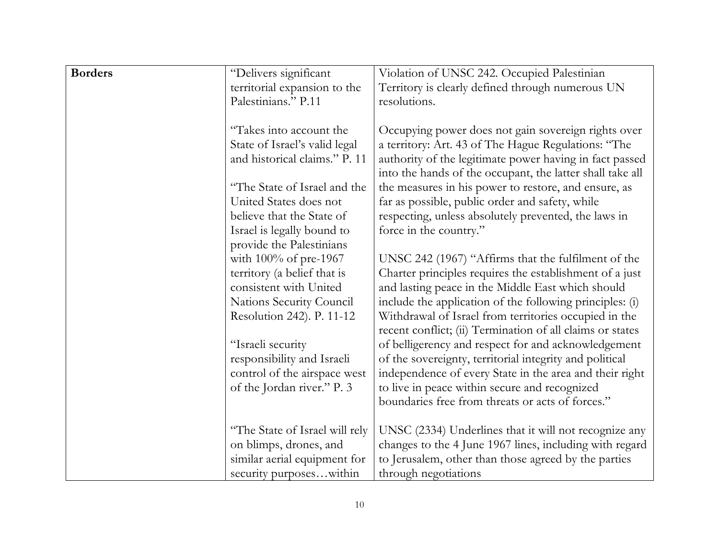| <b>Borders</b> | "Delivers significant          | Violation of UNSC 242. Occupied Palestinian                                                                          |
|----------------|--------------------------------|----------------------------------------------------------------------------------------------------------------------|
|                | territorial expansion to the   | Territory is clearly defined through numerous UN                                                                     |
|                | Palestinians." P.11            | resolutions.                                                                                                         |
|                |                                |                                                                                                                      |
|                | "Takes into account the        | Occupying power does not gain sovereign rights over                                                                  |
|                | State of Israel's valid legal  | a territory: Art. 43 of The Hague Regulations: "The                                                                  |
|                | and historical claims." P. 11  | authority of the legitimate power having in fact passed<br>into the hands of the occupant, the latter shall take all |
|                | "The State of Israel and the   | the measures in his power to restore, and ensure, as                                                                 |
|                | United States does not         | far as possible, public order and safety, while                                                                      |
|                | believe that the State of      | respecting, unless absolutely prevented, the laws in                                                                 |
|                | Israel is legally bound to     | force in the country."                                                                                               |
|                | provide the Palestinians       |                                                                                                                      |
|                | with $100\%$ of pre-1967       | UNSC 242 (1967) "Affirms that the fulfilment of the                                                                  |
|                | territory (a belief that is    | Charter principles requires the establishment of a just                                                              |
|                | consistent with United         | and lasting peace in the Middle East which should                                                                    |
|                | Nations Security Council       | include the application of the following principles: (i)                                                             |
|                | Resolution 242). P. 11-12      | Withdrawal of Israel from territories occupied in the<br>recent conflict; (ii) Termination of all claims or states   |
|                | "Israeli security              | of belligerency and respect for and acknowledgement                                                                  |
|                | responsibility and Israeli     | of the sovereignty, territorial integrity and political                                                              |
|                | control of the airspace west   | independence of every State in the area and their right                                                              |
|                | of the Jordan river." P. 3     | to live in peace within secure and recognized                                                                        |
|                |                                | boundaries free from threats or acts of forces."                                                                     |
|                |                                |                                                                                                                      |
|                | "The State of Israel will rely | UNSC (2334) Underlines that it will not recognize any                                                                |
|                | on blimps, drones, and         | changes to the 4 June 1967 lines, including with regard                                                              |
|                | similar aerial equipment for   | to Jerusalem, other than those agreed by the parties                                                                 |
|                | security purposeswithin        | through negotiations                                                                                                 |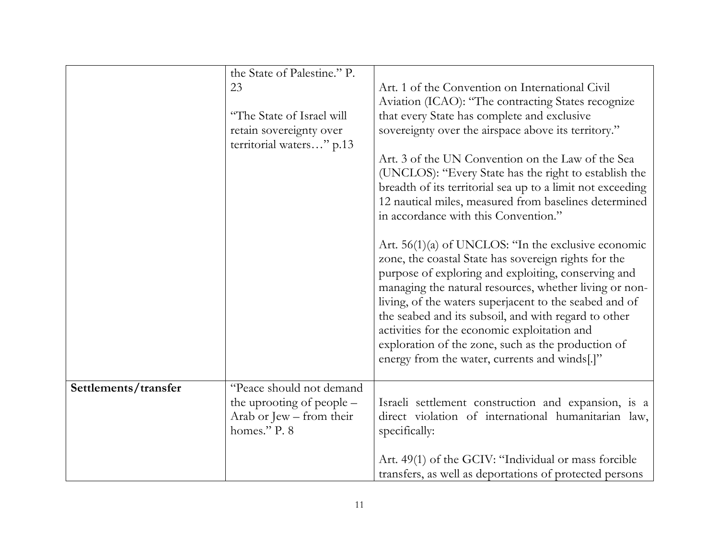|                      | the State of Palestine." P. |                                                            |
|----------------------|-----------------------------|------------------------------------------------------------|
|                      | 23                          | Art. 1 of the Convention on International Civil            |
|                      |                             | Aviation (ICAO): "The contracting States recognize         |
|                      | "The State of Israel will   | that every State has complete and exclusive                |
|                      | retain sovereignty over     | sovereignty over the airspace above its territory."        |
|                      | territorial waters" p.13    |                                                            |
|                      |                             | Art. 3 of the UN Convention on the Law of the Sea          |
|                      |                             | (UNCLOS): "Every State has the right to establish the      |
|                      |                             | breadth of its territorial sea up to a limit not exceeding |
|                      |                             | 12 nautical miles, measured from baselines determined      |
|                      |                             | in accordance with this Convention."                       |
|                      |                             |                                                            |
|                      |                             | Art. $56(1)(a)$ of UNCLOS: "In the exclusive economic      |
|                      |                             | zone, the coastal State has sovereign rights for the       |
|                      |                             | purpose of exploring and exploiting, conserving and        |
|                      |                             | managing the natural resources, whether living or non-     |
|                      |                             | living, of the waters superjacent to the seabed and of     |
|                      |                             | the seabed and its subsoil, and with regard to other       |
|                      |                             | activities for the economic exploitation and               |
|                      |                             | exploration of the zone, such as the production of         |
|                      |                             | energy from the water, currents and winds[.]"              |
|                      |                             |                                                            |
| Settlements/transfer | "Peace should not demand    |                                                            |
|                      | the uprooting of people –   | Israeli settlement construction and expansion, is a        |
|                      | Arab or Jew – from their    | direct violation of international humanitarian law,        |
|                      | homes." P. 8                | specifically:                                              |
|                      |                             |                                                            |
|                      |                             | Art. 49(1) of the GCIV: "Individual or mass forcible       |
|                      |                             | transfers, as well as deportations of protected persons    |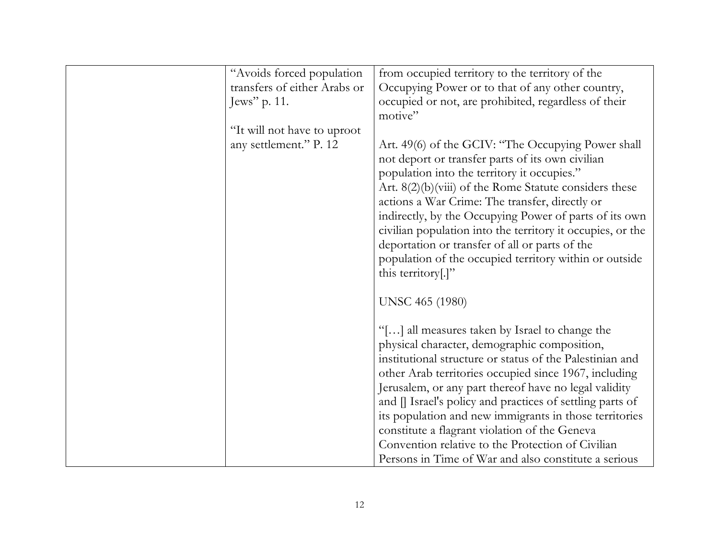| "Avoids forced population    | from occupied territory to the territory of the                              |
|------------------------------|------------------------------------------------------------------------------|
| transfers of either Arabs or | Occupying Power or to that of any other country,                             |
| Jews" $p. 11$ .              | occupied or not, are prohibited, regardless of their                         |
|                              | motive"                                                                      |
| "It will not have to uproot  |                                                                              |
| any settlement." P. 12       | Art. 49(6) of the GCIV: "The Occupying Power shall                           |
|                              | not deport or transfer parts of its own civilian                             |
|                              | population into the territory it occupies."                                  |
|                              | Art. $8(2)(b)(viii)$ of the Rome Statute considers these                     |
|                              | actions a War Crime: The transfer, directly or                               |
|                              | indirectly, by the Occupying Power of parts of its own                       |
|                              | civilian population into the territory it occupies, or the                   |
|                              | deportation or transfer of all or parts of the                               |
|                              |                                                                              |
|                              | population of the occupied territory within or outside<br>this territory[.]" |
|                              |                                                                              |
|                              | <b>UNSC 465 (1980)</b>                                                       |
|                              |                                                                              |
|                              | "[] all measures taken by Israel to change the                               |
|                              | physical character, demographic composition,                                 |
|                              | institutional structure or status of the Palestinian and                     |
|                              | other Arab territories occupied since 1967, including                        |
|                              | Jerusalem, or any part thereof have no legal validity                        |
|                              |                                                                              |
|                              | and [] Israel's policy and practices of settling parts of                    |
|                              | its population and new immigrants in those territories                       |
|                              | constitute a flagrant violation of the Geneva                                |
|                              | Convention relative to the Protection of Civilian                            |
|                              | Persons in Time of War and also constitute a serious                         |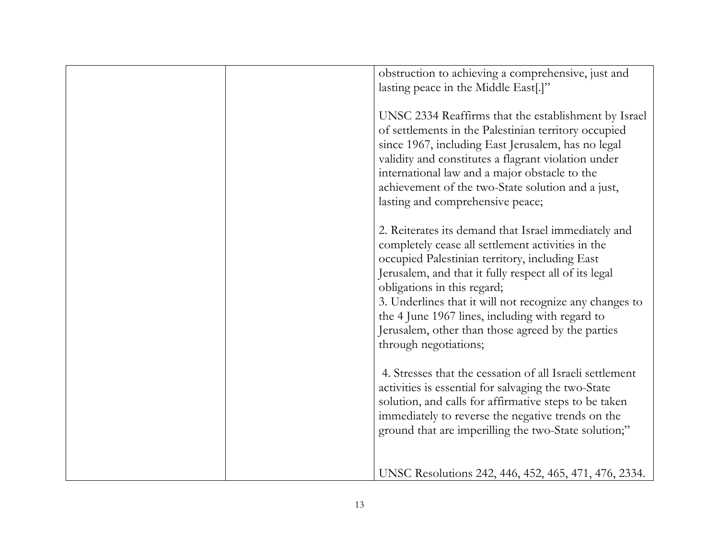| obstruction to achieving a comprehensive, just and<br>lasting peace in the Middle East[.]"                                                                                                                                                                                                                                                                                                                                                      |
|-------------------------------------------------------------------------------------------------------------------------------------------------------------------------------------------------------------------------------------------------------------------------------------------------------------------------------------------------------------------------------------------------------------------------------------------------|
| UNSC 2334 Reaffirms that the establishment by Israel<br>of settlements in the Palestinian territory occupied<br>since 1967, including East Jerusalem, has no legal<br>validity and constitutes a flagrant violation under<br>international law and a major obstacle to the<br>achievement of the two-State solution and a just,<br>lasting and comprehensive peace;                                                                             |
| 2. Reiterates its demand that Israel immediately and<br>completely cease all settlement activities in the<br>occupied Palestinian territory, including East<br>Jerusalem, and that it fully respect all of its legal<br>obligations in this regard;<br>3. Underlines that it will not recognize any changes to<br>the 4 June 1967 lines, including with regard to<br>Jerusalem, other than those agreed by the parties<br>through negotiations; |
| 4. Stresses that the cessation of all Israeli settlement<br>activities is essential for salvaging the two-State<br>solution, and calls for affirmative steps to be taken<br>immediately to reverse the negative trends on the<br>ground that are imperilling the two-State solution;"                                                                                                                                                           |
| UNSC Resolutions 242, 446, 452, 465, 471, 476, 2334.                                                                                                                                                                                                                                                                                                                                                                                            |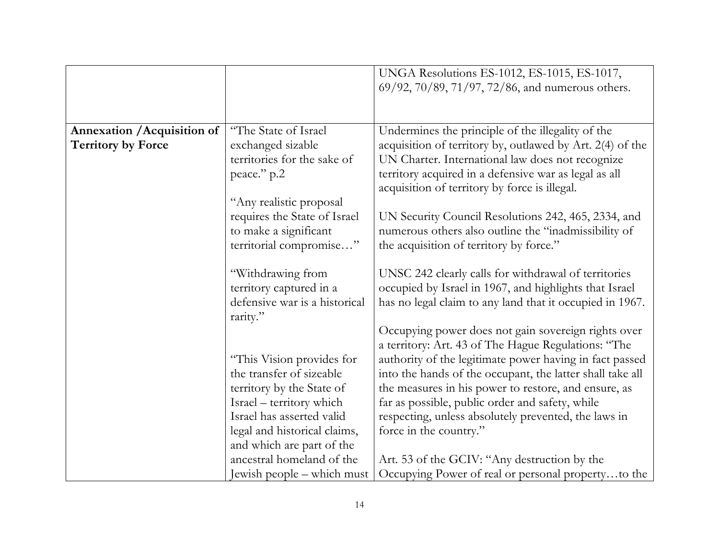|                                    |                               | UNGA Resolutions ES-1012, ES-1015, ES-1017,               |
|------------------------------------|-------------------------------|-----------------------------------------------------------|
|                                    |                               | 69/92, 70/89, 71/97, 72/86, and numerous others.          |
|                                    |                               |                                                           |
|                                    |                               |                                                           |
| <b>Annexation / Acquisition of</b> | "The State of Israel"         | Undermines the principle of the illegality of the         |
| <b>Territory by Force</b>          | exchanged sizable             | acquisition of territory by, outlawed by Art. 2(4) of the |
|                                    | territories for the sake of   | UN Charter. International law does not recognize          |
|                                    | peace." p.2                   | territory acquired in a defensive war as legal as all     |
|                                    |                               | acquisition of territory by force is illegal.             |
|                                    | "Any realistic proposal       |                                                           |
|                                    | requires the State of Israel  | UN Security Council Resolutions 242, 465, 2334, and       |
|                                    | to make a significant         | numerous others also outline the "inadmissibility of      |
|                                    | territorial compromise"       | the acquisition of territory by force."                   |
|                                    |                               |                                                           |
|                                    | "Withdrawing from             | UNSC 242 clearly calls for withdrawal of territories      |
|                                    | territory captured in a       | occupied by Israel in 1967, and highlights that Israel    |
|                                    | defensive war is a historical | has no legal claim to any land that it occupied in 1967.  |
|                                    | rarity."                      |                                                           |
|                                    |                               | Occupying power does not gain sovereign rights over       |
|                                    |                               | a territory: Art. 43 of The Hague Regulations: "The       |
|                                    | "This Vision provides for     | authority of the legitimate power having in fact passed   |
|                                    | the transfer of sizeable      | into the hands of the occupant, the latter shall take all |
|                                    | territory by the State of     | the measures in his power to restore, and ensure, as      |
|                                    | Israel – territory which      | far as possible, public order and safety, while           |
|                                    | Israel has asserted valid     | respecting, unless absolutely prevented, the laws in      |
|                                    | legal and historical claims,  | force in the country."                                    |
|                                    | and which are part of the     |                                                           |
|                                    | ancestral homeland of the     | Art. 53 of the GCIV: "Any destruction by the              |
|                                    | Jewish people - which must    | Occupying Power of real or personal propertyto the        |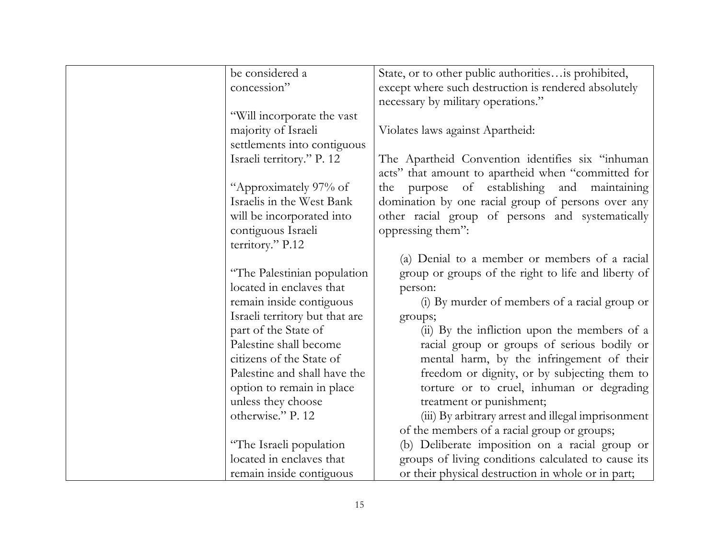| be considered a                | State, or to other public authoritiesis prohibited,  |
|--------------------------------|------------------------------------------------------|
| concession"                    | except where such destruction is rendered absolutely |
|                                | necessary by military operations."                   |
| "Will incorporate the vast     |                                                      |
| majority of Israeli            | Violates laws against Apartheid:                     |
| settlements into contiguous    |                                                      |
| Israeli territory." P. 12      | The Apartheid Convention identifies six "inhuman"    |
|                                | acts" that amount to apartheid when "committed for   |
| "Approximately 97% of          | of establishing and<br>purpose<br>maintaining<br>the |
| Israelis in the West Bank      | domination by one racial group of persons over any   |
| will be incorporated into      | other racial group of persons and systematically     |
| contiguous Israeli             | oppressing them":                                    |
| territory." P.12               |                                                      |
|                                | (a) Denial to a member or members of a racial        |
| "The Palestinian population    | group or groups of the right to life and liberty of  |
| located in enclaves that       | person:                                              |
| remain inside contiguous       | (i) By murder of members of a racial group or        |
| Israeli territory but that are | groups;                                              |
| part of the State of           | (ii) By the infliction upon the members of a         |
| Palestine shall become         | racial group or groups of serious bodily or          |
| citizens of the State of       | mental harm, by the infringement of their            |
| Palestine and shall have the   | freedom or dignity, or by subjecting them to         |
| option to remain in place      | torture or to cruel, inhuman or degrading            |
| unless they choose             | treatment or punishment;                             |
| otherwise." P. 12              | (iii) By arbitrary arrest and illegal imprisonment   |
|                                | of the members of a racial group or groups;          |
| "The Israeli population        | (b) Deliberate imposition on a racial group or       |
| located in enclaves that       | groups of living conditions calculated to cause its  |
| remain inside contiguous       | or their physical destruction in whole or in part;   |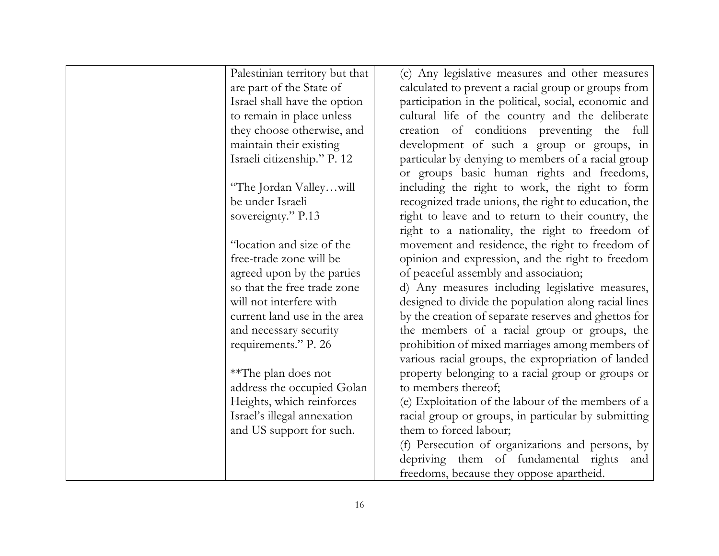| Palestinian territory but that | (c) Any legislative measures and other measures      |
|--------------------------------|------------------------------------------------------|
| are part of the State of       | calculated to prevent a racial group or groups from  |
| Israel shall have the option   | participation in the political, social, economic and |
| to remain in place unless      | cultural life of the country and the deliberate      |
| they choose otherwise, and     | creation of conditions preventing the full           |
| maintain their existing        | development of such a group or groups, in            |
| Israeli citizenship." P. 12    | particular by denying to members of a racial group   |
|                                | or groups basic human rights and freedoms,           |
| "The Jordan Valleywill         | including the right to work, the right to form       |
| be under Israeli               | recognized trade unions, the right to education, the |
| sovereignty." P.13             | right to leave and to return to their country, the   |
|                                | right to a nationality, the right to freedom of      |
| "location and size of the      | movement and residence, the right to freedom of      |
| free-trade zone will be        | opinion and expression, and the right to freedom     |
| agreed upon by the parties     | of peaceful assembly and association;                |
| so that the free trade zone    | d) Any measures including legislative measures,      |
| will not interfere with        | designed to divide the population along racial lines |
| current land use in the area   | by the creation of separate reserves and ghettos for |
| and necessary security         | the members of a racial group or groups, the         |
| requirements." P. 26           | prohibition of mixed marriages among members of      |
|                                | various racial groups, the expropriation of landed   |
| **The plan does not            | property belonging to a racial group or groups or    |
| address the occupied Golan     | to members thereof;                                  |
| Heights, which reinforces      | (e) Exploitation of the labour of the members of a   |
| Israel's illegal annexation    | racial group or groups, in particular by submitting  |
| and US support for such.       | them to forced labour;                               |
|                                | (f) Persecution of organizations and persons, by     |
|                                | depriving them of fundamental rights<br>and          |
|                                | freedoms, because they oppose apartheid.             |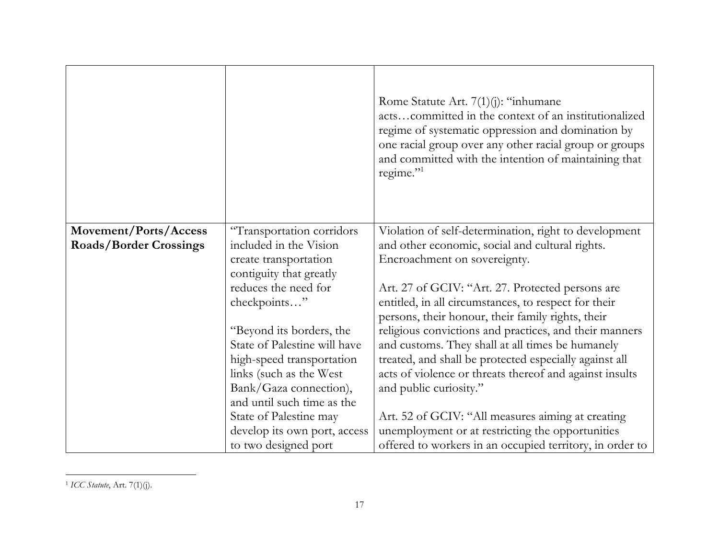|                               |                              | Rome Statute Art. $7(1)(j)$ : "inhumane<br>actscommitted in the context of an institutionalized<br>regime of systematic oppression and domination by<br>one racial group over any other racial group or groups<br>and committed with the intention of maintaining that<br>regime." |
|-------------------------------|------------------------------|------------------------------------------------------------------------------------------------------------------------------------------------------------------------------------------------------------------------------------------------------------------------------------|
| Movement/Ports/Access         | "Transportation corridors    | Violation of self-determination, right to development                                                                                                                                                                                                                              |
| <b>Roads/Border Crossings</b> | included in the Vision       | and other economic, social and cultural rights.                                                                                                                                                                                                                                    |
|                               | create transportation        | Encroachment on sovereignty.                                                                                                                                                                                                                                                       |
|                               | contiguity that greatly      |                                                                                                                                                                                                                                                                                    |
|                               | reduces the need for         | Art. 27 of GCIV: "Art. 27. Protected persons are                                                                                                                                                                                                                                   |
|                               | checkpoints"                 | entitled, in all circumstances, to respect for their                                                                                                                                                                                                                               |
|                               |                              | persons, their honour, their family rights, their                                                                                                                                                                                                                                  |
|                               | "Beyond its borders, the     | religious convictions and practices, and their manners                                                                                                                                                                                                                             |
|                               | State of Palestine will have | and customs. They shall at all times be humanely                                                                                                                                                                                                                                   |
|                               | high-speed transportation    | treated, and shall be protected especially against all                                                                                                                                                                                                                             |
|                               | links (such as the West      | acts of violence or threats thereof and against insults                                                                                                                                                                                                                            |
|                               | Bank/Gaza connection),       | and public curiosity."                                                                                                                                                                                                                                                             |
|                               | and until such time as the   |                                                                                                                                                                                                                                                                                    |
|                               | State of Palestine may       | Art. 52 of GCIV: "All measures aiming at creating                                                                                                                                                                                                                                  |
|                               | develop its own port, access | unemployment or at restricting the opportunities                                                                                                                                                                                                                                   |
|                               | to two designed port         | offered to workers in an occupied territory, in order to                                                                                                                                                                                                                           |

<sup>1</sup> *ICC Statute*, Art. 7(1)(j).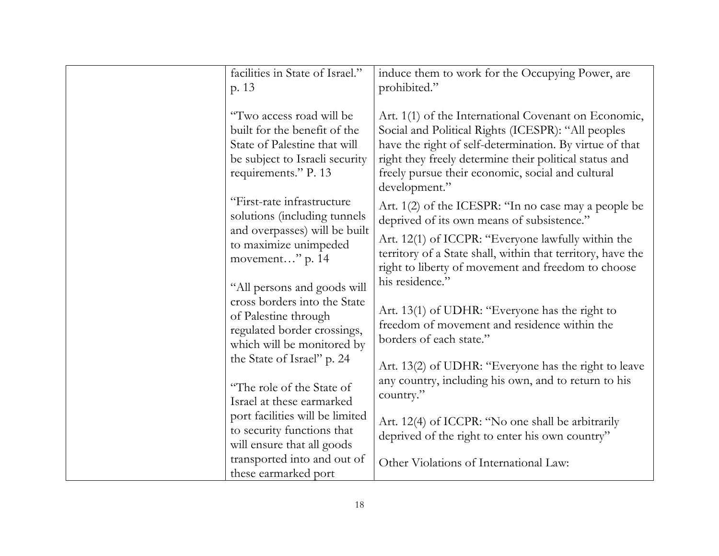| facilities in State of Israel."<br>p. 13                                                                                                           | induce them to work for the Occupying Power, are<br>prohibited."                                                                                                                                                                                                                                      |
|----------------------------------------------------------------------------------------------------------------------------------------------------|-------------------------------------------------------------------------------------------------------------------------------------------------------------------------------------------------------------------------------------------------------------------------------------------------------|
| "Two access road will be<br>built for the benefit of the<br>State of Palestine that will<br>be subject to Israeli security<br>requirements." P. 13 | Art. 1(1) of the International Covenant on Economic,<br>Social and Political Rights (ICESPR): "All peoples<br>have the right of self-determination. By virtue of that<br>right they freely determine their political status and<br>freely pursue their economic, social and cultural<br>development." |
| "First-rate infrastructure<br>solutions (including tunnels                                                                                         | Art. 1(2) of the ICESPR: "In no case may a people be<br>deprived of its own means of subsistence."                                                                                                                                                                                                    |
| and overpasses) will be built<br>to maximize unimpeded<br>movement" p. 14                                                                          | Art. 12(1) of ICCPR: "Everyone lawfully within the<br>territory of a State shall, within that territory, have the<br>right to liberty of movement and freedom to choose                                                                                                                               |
| "All persons and goods will<br>cross borders into the State<br>of Palestine through<br>regulated border crossings,<br>which will be monitored by   | his residence."<br>Art. 13(1) of UDHR: "Everyone has the right to<br>freedom of movement and residence within the<br>borders of each state."                                                                                                                                                          |
| the State of Israel" p. 24<br>"The role of the State of<br>Israel at these earmarked                                                               | Art. 13(2) of UDHR: "Everyone has the right to leave<br>any country, including his own, and to return to his<br>country."                                                                                                                                                                             |
| port facilities will be limited<br>to security functions that<br>will ensure that all goods                                                        | Art. 12(4) of ICCPR: "No one shall be arbitrarily<br>deprived of the right to enter his own country"                                                                                                                                                                                                  |
| transported into and out of<br>these earmarked port                                                                                                | Other Violations of International Law:                                                                                                                                                                                                                                                                |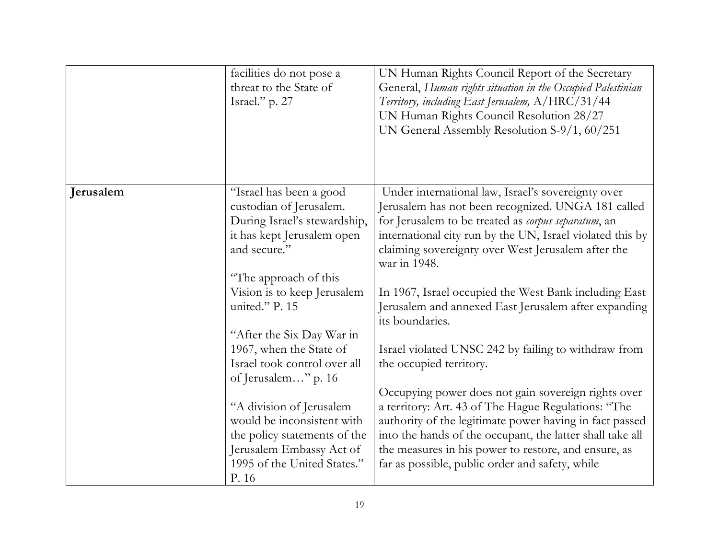|           | facilities do not pose a<br>threat to the State of<br>Israel." p. 27                                                                                       | UN Human Rights Council Report of the Secretary<br>General, Human rights situation in the Occupied Palestinian<br>Territory, including East Jerusalem, A/HRC/31/44<br>UN Human Rights Council Resolution 28/27<br>UN General Assembly Resolution S-9/1, 60/251                                                                                |
|-----------|------------------------------------------------------------------------------------------------------------------------------------------------------------|-----------------------------------------------------------------------------------------------------------------------------------------------------------------------------------------------------------------------------------------------------------------------------------------------------------------------------------------------|
|           |                                                                                                                                                            |                                                                                                                                                                                                                                                                                                                                               |
| Jerusalem | "Israel has been a good<br>custodian of Jerusalem.<br>During Israel's stewardship,<br>it has kept Jerusalem open<br>and secure."                           | Under international law, Israel's sovereignty over<br>Jerusalem has not been recognized. UNGA 181 called<br>for Jerusalem to be treated as corpus separatum, an<br>international city run by the UN, Israel violated this by<br>claiming sovereignty over West Jerusalem after the<br>war in 1948.                                            |
|           | "The approach of this<br>Vision is to keep Jerusalem<br>united." P. 15                                                                                     | In 1967, Israel occupied the West Bank including East<br>Jerusalem and annexed East Jerusalem after expanding<br>its boundaries.                                                                                                                                                                                                              |
|           | "After the Six Day War in<br>1967, when the State of<br>Israel took control over all<br>of Jerusalem" p. 16                                                | Israel violated UNSC 242 by failing to withdraw from<br>the occupied territory.                                                                                                                                                                                                                                                               |
|           | "A division of Jerusalem<br>would be inconsistent with<br>the policy statements of the<br>Jerusalem Embassy Act of<br>1995 of the United States."<br>P. 16 | Occupying power does not gain sovereign rights over<br>a territory: Art. 43 of The Hague Regulations: "The<br>authority of the legitimate power having in fact passed<br>into the hands of the occupant, the latter shall take all<br>the measures in his power to restore, and ensure, as<br>far as possible, public order and safety, while |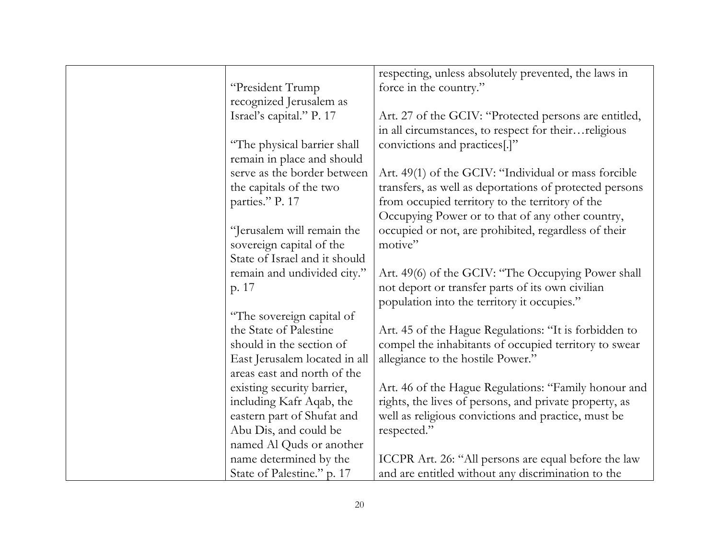|                               | respecting, unless absolutely prevented, the laws in    |
|-------------------------------|---------------------------------------------------------|
| "President Trump              | force in the country."                                  |
| recognized Jerusalem as       |                                                         |
| Israel's capital." P. 17      | Art. 27 of the GCIV: "Protected persons are entitled,   |
|                               | in all circumstances, to respect for theirreligious     |
| "The physical barrier shall   | convictions and practices[.]"                           |
| remain in place and should    |                                                         |
| serve as the border between   | Art. 49(1) of the GCIV: "Individual or mass forcible    |
| the capitals of the two       | transfers, as well as deportations of protected persons |
| parties." P. 17               | from occupied territory to the territory of the         |
|                               | Occupying Power or to that of any other country,        |
| "Jerusalem will remain the    | occupied or not, are prohibited, regardless of their    |
| sovereign capital of the      | motive"                                                 |
| State of Israel and it should |                                                         |
| remain and undivided city."   | Art. 49(6) of the GCIV: "The Occupying Power shall      |
| p. 17                         | not deport or transfer parts of its own civilian        |
|                               | population into the territory it occupies."             |
| "The sovereign capital of     |                                                         |
| the State of Palestine        | Art. 45 of the Hague Regulations: "It is forbidden to   |
| should in the section of      | compel the inhabitants of occupied territory to swear   |
| East Jerusalem located in all | allegiance to the hostile Power."                       |
| areas east and north of the   |                                                         |
| existing security barrier,    | Art. 46 of the Hague Regulations: "Family honour and    |
| including Kafr Aqab, the      | rights, the lives of persons, and private property, as  |
| eastern part of Shufat and    | well as religious convictions and practice, must be     |
| Abu Dis, and could be         | respected."                                             |
| named Al Quds or another      |                                                         |
| name determined by the        | ICCPR Art. 26: "All persons are equal before the law    |
| State of Palestine." p. 17    | and are entitled without any discrimination to the      |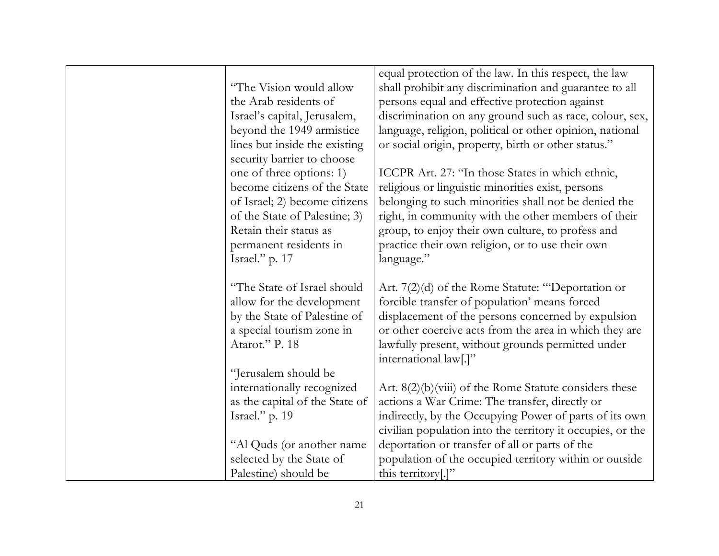|                                | equal protection of the law. In this respect, the law      |
|--------------------------------|------------------------------------------------------------|
| "The Vision would allow        | shall prohibit any discrimination and guarantee to all     |
| the Arab residents of          | persons equal and effective protection against             |
| Israel's capital, Jerusalem,   | discrimination on any ground such as race, colour, sex,    |
| beyond the 1949 armistice      | language, religion, political or other opinion, national   |
| lines but inside the existing  | or social origin, property, birth or other status."        |
| security barrier to choose     |                                                            |
| one of three options: 1)       | ICCPR Art. 27: "In those States in which ethnic,           |
| become citizens of the State   | religious or linguistic minorities exist, persons          |
| of Israel; 2) become citizens  | belonging to such minorities shall not be denied the       |
| of the State of Palestine; 3)  | right, in community with the other members of their        |
| Retain their status as         | group, to enjoy their own culture, to profess and          |
| permanent residents in         | practice their own religion, or to use their own           |
| Israel." p. 17                 | language."                                                 |
|                                |                                                            |
| "The State of Israel should    | Art. $7(2)(d)$ of the Rome Statute: "Deportation or        |
| allow for the development      | forcible transfer of population' means forced              |
| by the State of Palestine of   | displacement of the persons concerned by expulsion         |
| a special tourism zone in      | or other coercive acts from the area in which they are     |
| Atarot." P. 18                 | lawfully present, without grounds permitted under          |
|                                | international law[.]"                                      |
| "Jerusalem should be           |                                                            |
| internationally recognized     | Art. $8(2)(b)(viii)$ of the Rome Statute considers these   |
| as the capital of the State of | actions a War Crime: The transfer, directly or             |
| Israel." p. 19                 | indirectly, by the Occupying Power of parts of its own     |
|                                | civilian population into the territory it occupies, or the |
| "Al Quds (or another name      | deportation or transfer of all or parts of the             |
| selected by the State of       | population of the occupied territory within or outside     |
| Palestine) should be           | this territory[.]"                                         |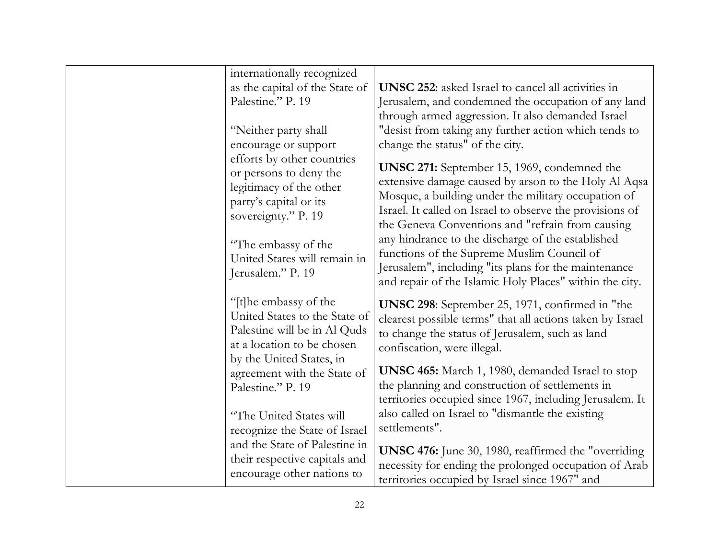| internationally recognized                                                                                                                       |                                                                                                                                                                                                                                                                        |
|--------------------------------------------------------------------------------------------------------------------------------------------------|------------------------------------------------------------------------------------------------------------------------------------------------------------------------------------------------------------------------------------------------------------------------|
| as the capital of the State of                                                                                                                   | <b>UNSC 252:</b> asked Israel to cancel all activities in                                                                                                                                                                                                              |
| Palestine." P. 19                                                                                                                                | Jerusalem, and condemned the occupation of any land                                                                                                                                                                                                                    |
|                                                                                                                                                  | through armed aggression. It also demanded Israel                                                                                                                                                                                                                      |
| "Neither party shall                                                                                                                             | "desist from taking any further action which tends to                                                                                                                                                                                                                  |
| encourage or support                                                                                                                             | change the status" of the city.                                                                                                                                                                                                                                        |
| efforts by other countries<br>or persons to deny the<br>legitimacy of the other<br>party's capital or its<br>sovereignty." P. 19                 | <b>UNSC 271:</b> September 15, 1969, condemned the<br>extensive damage caused by arson to the Holy Al Aqsa<br>Mosque, a building under the military occupation of<br>Israel. It called on Israel to observe the provisions of                                          |
| "The embassy of the<br>United States will remain in<br>Jerusalem." P. 19                                                                         | the Geneva Conventions and "refrain from causing<br>any hindrance to the discharge of the established<br>functions of the Supreme Muslim Council of<br>Jerusalem", including "its plans for the maintenance<br>and repair of the Islamic Holy Places" within the city. |
| "[t]he embassy of the<br>United States to the State of<br>Palestine will be in Al Quds<br>at a location to be chosen<br>by the United States, in | UNSC 298: September 25, 1971, confirmed in "the<br>clearest possible terms" that all actions taken by Israel<br>to change the status of Jerusalem, such as land<br>confiscation, were illegal.                                                                         |
| agreement with the State of<br>Palestine." P. 19                                                                                                 | UNSC 465: March 1, 1980, demanded Israel to stop<br>the planning and construction of settlements in<br>territories occupied since 1967, including Jerusalem. It                                                                                                        |
| "The United States will<br>recognize the State of Israel                                                                                         | also called on Israel to "dismantle the existing<br>settlements".                                                                                                                                                                                                      |
| and the State of Palestine in<br>their respective capitals and<br>encourage other nations to                                                     | <b>UNSC 476:</b> June 30, 1980, reaffirmed the "overriding"<br>necessity for ending the prolonged occupation of Arab<br>territories occupied by Israel since 1967" and                                                                                                 |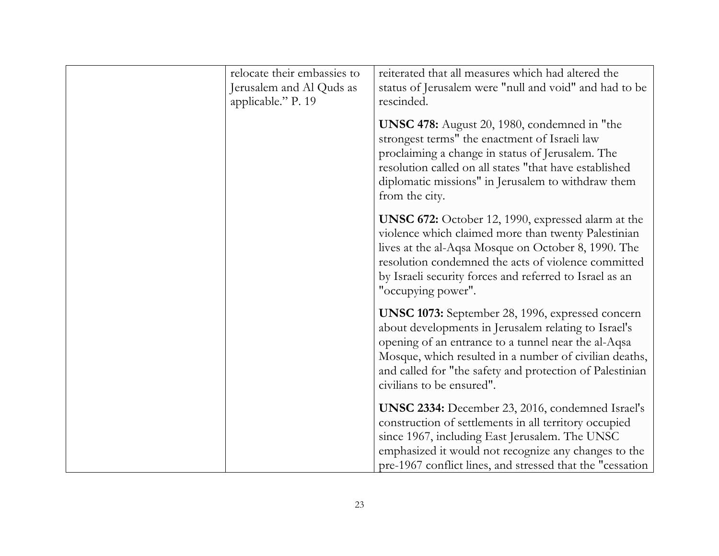| relocate their embassies to<br>Jerusalem and Al Quds as<br>applicable." P. 19 | reiterated that all measures which had altered the<br>status of Jerusalem were "null and void" and had to be<br>rescinded.                                                                                                                                                                                                |
|-------------------------------------------------------------------------------|---------------------------------------------------------------------------------------------------------------------------------------------------------------------------------------------------------------------------------------------------------------------------------------------------------------------------|
|                                                                               | UNSC 478: August 20, 1980, condemned in "the<br>strongest terms" the enactment of Israeli law<br>proclaiming a change in status of Jerusalem. The<br>resolution called on all states "that have established<br>diplomatic missions" in Jerusalem to withdraw them<br>from the city.                                       |
|                                                                               | <b>UNSC 672:</b> October 12, 1990, expressed alarm at the<br>violence which claimed more than twenty Palestinian<br>lives at the al-Aqsa Mosque on October 8, 1990. The<br>resolution condemned the acts of violence committed<br>by Israeli security forces and referred to Israel as an<br>"occupying power".           |
|                                                                               | <b>UNSC 1073:</b> September 28, 1996, expressed concern<br>about developments in Jerusalem relating to Israel's<br>opening of an entrance to a tunnel near the al-Aqsa<br>Mosque, which resulted in a number of civilian deaths,<br>and called for "the safety and protection of Palestinian<br>civilians to be ensured". |
|                                                                               | <b>UNSC 2334:</b> December 23, 2016, condemned Israel's<br>construction of settlements in all territory occupied<br>since 1967, including East Jerusalem. The UNSC<br>emphasized it would not recognize any changes to the<br>pre-1967 conflict lines, and stressed that the "cessation                                   |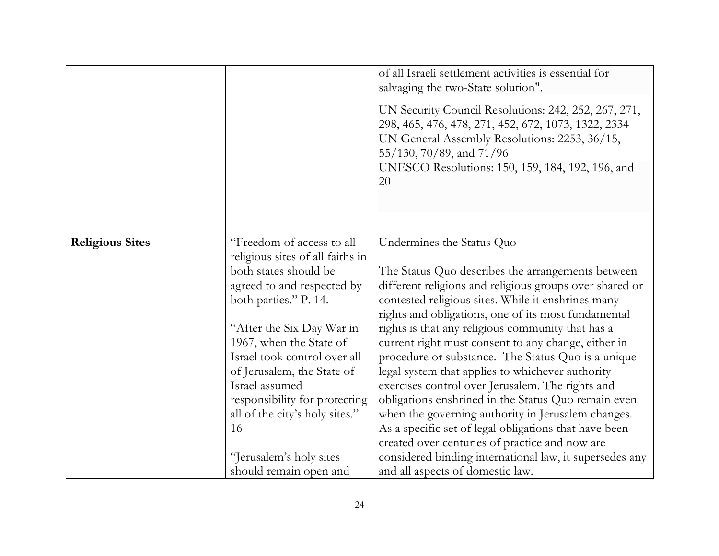|                        |                                                               | of all Israeli settlement activities is essential for<br>salvaging the two-State solution".                                                                                              |
|------------------------|---------------------------------------------------------------|------------------------------------------------------------------------------------------------------------------------------------------------------------------------------------------|
|                        |                                                               | UN Security Council Resolutions: 242, 252, 267, 271,<br>298, 465, 476, 478, 271, 452, 672, 1073, 1322, 2334<br>UN General Assembly Resolutions: 2253, 36/15,<br>55/130, 70/89, and 71/96 |
|                        |                                                               | UNESCO Resolutions: 150, 159, 184, 192, 196, and<br>20                                                                                                                                   |
|                        |                                                               |                                                                                                                                                                                          |
| <b>Religious Sites</b> | "Freedom of access to all<br>religious sites of all faiths in | Undermines the Status Quo                                                                                                                                                                |
|                        | both states should be                                         | The Status Quo describes the arrangements between                                                                                                                                        |
|                        | agreed to and respected by                                    | different religions and religious groups over shared or                                                                                                                                  |
|                        | both parties." P. 14.                                         | contested religious sites. While it enshrines many                                                                                                                                       |
|                        |                                                               | rights and obligations, one of its most fundamental                                                                                                                                      |
|                        | "After the Six Day War in                                     | rights is that any religious community that has a                                                                                                                                        |
|                        | 1967, when the State of                                       | current right must consent to any change, either in                                                                                                                                      |
|                        | Israel took control over all                                  | procedure or substance. The Status Quo is a unique                                                                                                                                       |
|                        | of Jerusalem, the State of                                    | legal system that applies to whichever authority                                                                                                                                         |
|                        | Israel assumed                                                | exercises control over Jerusalem. The rights and                                                                                                                                         |
|                        | responsibility for protecting                                 | obligations enshrined in the Status Quo remain even                                                                                                                                      |
|                        | all of the city's holy sites."<br>16                          | when the governing authority in Jerusalem changes.<br>As a specific set of legal obligations that have been                                                                              |
|                        |                                                               | created over centuries of practice and now are                                                                                                                                           |
|                        | "Jerusalem's holy sites                                       | considered binding international law, it supersedes any                                                                                                                                  |
|                        | should remain open and                                        | and all aspects of domestic law.                                                                                                                                                         |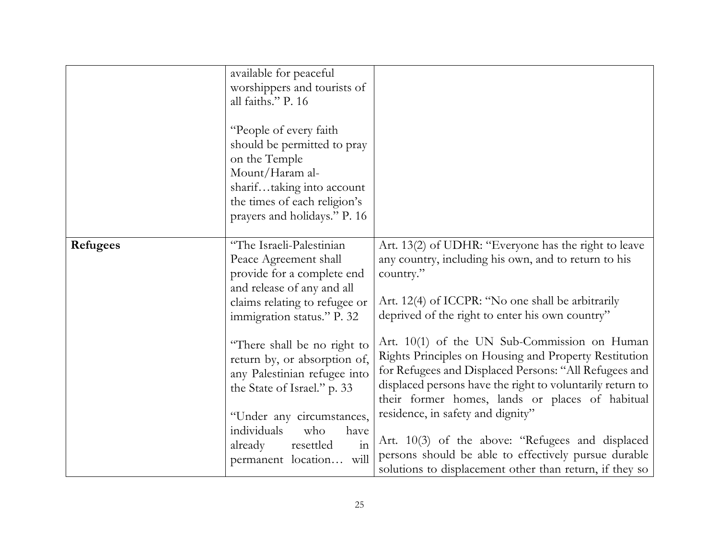|                 | available for peaceful<br>worshippers and tourists of<br>all faiths." P. 16<br>"People of every faith"<br>should be permitted to pray<br>on the Temple<br>Mount/Haram al-<br>shariftaking into account<br>the times of each religion's<br>prayers and holidays." P. 16 |                                                                                                                                                                                                                                                                                |
|-----------------|------------------------------------------------------------------------------------------------------------------------------------------------------------------------------------------------------------------------------------------------------------------------|--------------------------------------------------------------------------------------------------------------------------------------------------------------------------------------------------------------------------------------------------------------------------------|
| <b>Refugees</b> | "The Israeli-Palestinian<br>Peace Agreement shall<br>provide for a complete end<br>and release of any and all<br>claims relating to refugee or<br>immigration status." P. 32                                                                                           | Art. 13(2) of UDHR: "Everyone has the right to leave<br>any country, including his own, and to return to his<br>country."<br>Art. 12(4) of ICCPR: "No one shall be arbitrarily<br>deprived of the right to enter his own country"                                              |
|                 | "There shall be no right to<br>return by, or absorption of,<br>any Palestinian refugee into<br>the State of Israel." p. 33                                                                                                                                             | Art. 10(1) of the UN Sub-Commission on Human<br>Rights Principles on Housing and Property Restitution<br>for Refugees and Displaced Persons: "All Refugees and<br>displaced persons have the right to voluntarily return to<br>their former homes, lands or places of habitual |
|                 | "Under any circumstances,<br>individuals<br>who<br>have<br>$\overline{\text{in}}$<br>already<br>resettled<br>will<br>permanent location                                                                                                                                | residence, in safety and dignity"<br>Art. 10(3) of the above: "Refugees and displaced<br>persons should be able to effectively pursue durable<br>solutions to displacement other than return, if they so                                                                       |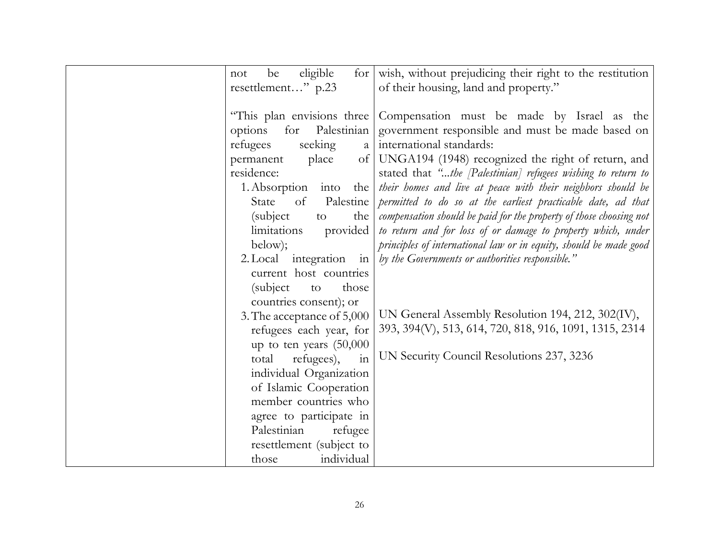| eligible<br>be<br>for $\vert$<br>not            | wish, without prejudicing their right to the restitution           |
|-------------------------------------------------|--------------------------------------------------------------------|
| resettlement" p.23                              | of their housing, land and property."                              |
|                                                 |                                                                    |
| "This plan envisions three                      | Compensation must be made by Israel as the                         |
| Palestinian<br>for<br>options                   | government responsible and must be made based on                   |
| refugees<br>seeking<br>a                        | international standards:                                           |
| permanent<br>place<br>$\sigma$ f                | UNGA194 (1948) recognized the right of return, and                 |
| residence:                                      | stated that "the [Palestinian] refugees wishing to return to       |
| 1. Absorption into<br>the                       | their homes and live at peace with their neighbors should be       |
| State<br>Palestine<br>of                        | permitted to do so at the earliest practicable date, ad that       |
| (subject)<br>the<br>to                          | compensation should be paid for the property of those choosing not |
| provided<br>limitations                         | to return and for loss of or damage to property which, under       |
| below);                                         | principles of international law or in equity, should be made good  |
| 2. Local integration in                         | by the Governments or authorities responsible."                    |
| current host countries                          |                                                                    |
| (subject)<br>those<br>to                        |                                                                    |
| countries consent); or                          | UN General Assembly Resolution 194, 212, 302(IV),                  |
| 3. The acceptance of 5,000                      |                                                                    |
| refugees each year, for                         | 393, 394(V), 513, 614, 720, 818, 916, 1091, 1315, 2314             |
| up to ten years $(50,000)$                      | UN Security Council Resolutions 237, 3236                          |
| refugees),<br>total<br>in                       |                                                                    |
| individual Organization                         |                                                                    |
| of Islamic Cooperation<br>member countries who  |                                                                    |
|                                                 |                                                                    |
| agree to participate in<br>Palestinian          |                                                                    |
| refugee                                         |                                                                    |
| resettlement (subject to<br>individual<br>those |                                                                    |
|                                                 |                                                                    |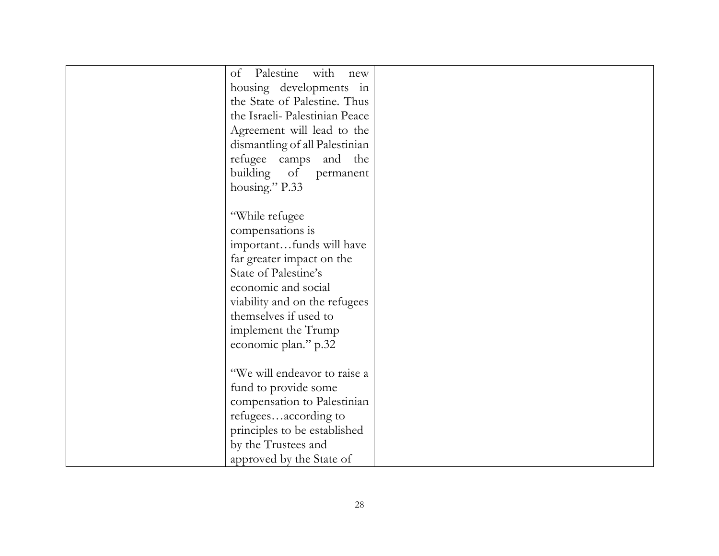|                      | of Palestine with<br>new       |  |
|----------------------|--------------------------------|--|
|                      | housing developments in        |  |
|                      | the State of Palestine. Thus   |  |
|                      | the Israeli- Palestinian Peace |  |
|                      | Agreement will lead to the     |  |
|                      | dismantling of all Palestinian |  |
|                      | refugee camps and the          |  |
| building             | of<br>permanent                |  |
| housing." P.33       |                                |  |
|                      |                                |  |
| "While refugee       |                                |  |
| compensations is     |                                |  |
|                      | importantfunds will have       |  |
|                      | far greater impact on the      |  |
| State of Palestine's |                                |  |
|                      | economic and social            |  |
|                      | viability and on the refugees  |  |
|                      | themselves if used to          |  |
|                      | implement the Trump            |  |
|                      | economic plan." p.32           |  |
|                      |                                |  |
|                      | "We will endeavor to raise a   |  |
|                      | fund to provide some           |  |
|                      | compensation to Palestinian    |  |
|                      | refugeesaccording to           |  |
|                      | principles to be established   |  |
|                      | by the Trustees and            |  |
|                      | approved by the State of       |  |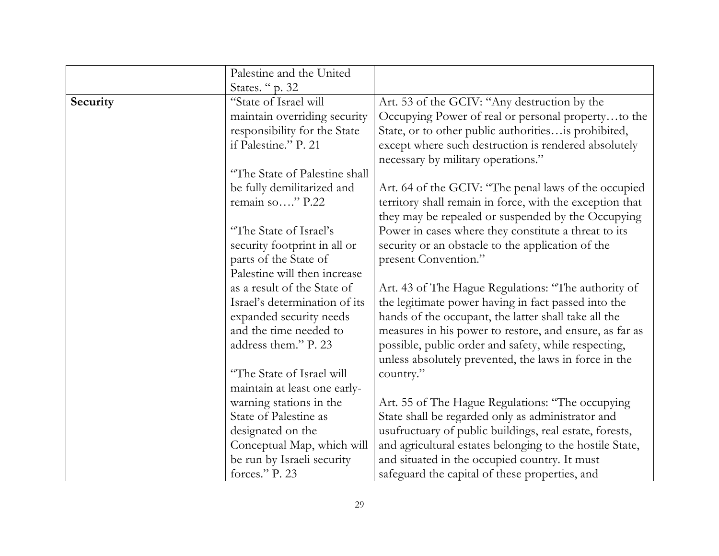|          | Palestine and the United                                                             |                                                                                                                                                                                                          |
|----------|--------------------------------------------------------------------------------------|----------------------------------------------------------------------------------------------------------------------------------------------------------------------------------------------------------|
|          | States. "p. 32                                                                       |                                                                                                                                                                                                          |
| Security | "State of Israel will                                                                | Art. 53 of the GCIV: "Any destruction by the                                                                                                                                                             |
|          | maintain overriding security<br>responsibility for the State<br>if Palestine." P. 21 | Occupying Power of real or personal propertyto the<br>State, or to other public authorities is prohibited,<br>except where such destruction is rendered absolutely<br>necessary by military operations." |
|          | "The State of Palestine shall                                                        |                                                                                                                                                                                                          |
|          | be fully demilitarized and<br>remain so" P.22                                        | Art. 64 of the GCIV: "The penal laws of the occupied<br>territory shall remain in force, with the exception that<br>they may be repealed or suspended by the Occupying                                   |
|          | "The State of Israel's<br>security footprint in all or<br>parts of the State of      | Power in cases where they constitute a threat to its<br>security or an obstacle to the application of the<br>present Convention."                                                                        |
|          | Palestine will then increase                                                         |                                                                                                                                                                                                          |
|          | as a result of the State of                                                          | Art. 43 of The Hague Regulations: "The authority of                                                                                                                                                      |
|          | Israel's determination of its                                                        | the legitimate power having in fact passed into the                                                                                                                                                      |
|          | expanded security needs                                                              | hands of the occupant, the latter shall take all the                                                                                                                                                     |
|          | and the time needed to                                                               | measures in his power to restore, and ensure, as far as                                                                                                                                                  |
|          | address them." P. 23                                                                 | possible, public order and safety, while respecting,<br>unless absolutely prevented, the laws in force in the                                                                                            |
|          | "The State of Israel will                                                            | country."                                                                                                                                                                                                |
|          | maintain at least one early-                                                         |                                                                                                                                                                                                          |
|          | warning stations in the                                                              | Art. 55 of The Hague Regulations: "The occupying                                                                                                                                                         |
|          | State of Palestine as                                                                | State shall be regarded only as administrator and                                                                                                                                                        |
|          | designated on the                                                                    | usufructuary of public buildings, real estate, forests,                                                                                                                                                  |
|          | Conceptual Map, which will                                                           | and agricultural estates belonging to the hostile State,                                                                                                                                                 |
|          | be run by Israeli security                                                           | and situated in the occupied country. It must                                                                                                                                                            |
|          | forces." P. 23                                                                       | safeguard the capital of these properties, and                                                                                                                                                           |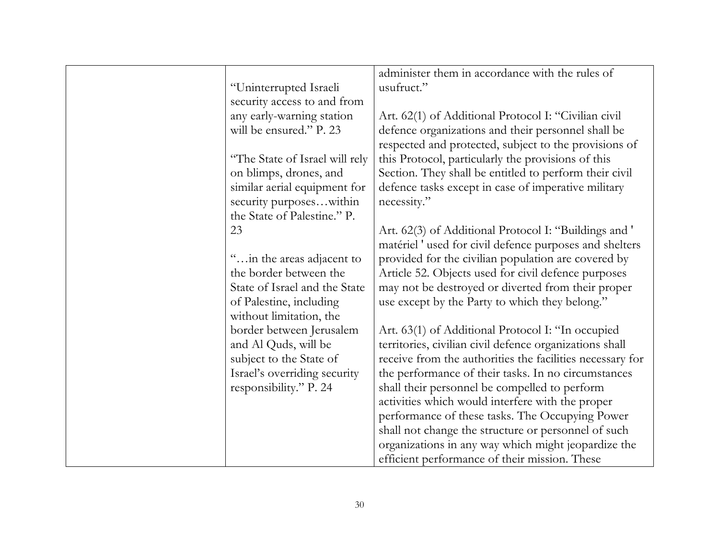|                                | administer them in accordance with the rules of           |
|--------------------------------|-----------------------------------------------------------|
| "Uninterrupted Israeli         | usufruct."                                                |
| security access to and from    |                                                           |
| any early-warning station      | Art. 62(1) of Additional Protocol I: "Civilian civil      |
| will be ensured." P. 23        | defence organizations and their personnel shall be        |
|                                | respected and protected, subject to the provisions of     |
| "The State of Israel will rely | this Protocol, particularly the provisions of this        |
| on blimps, drones, and         | Section. They shall be entitled to perform their civil    |
| similar aerial equipment for   | defence tasks except in case of imperative military       |
| security purposeswithin        | necessity."                                               |
| the State of Palestine." P.    |                                                           |
| 23                             | Art. 62(3) of Additional Protocol I: "Buildings and "     |
|                                | matériel ' used for civil defence purposes and shelters   |
| " in the areas adjacent to     | provided for the civilian population are covered by       |
| the border between the         | Article 52. Objects used for civil defence purposes       |
| State of Israel and the State  | may not be destroyed or diverted from their proper        |
| of Palestine, including        | use except by the Party to which they belong."            |
| without limitation, the        |                                                           |
| border between Jerusalem       | Art. 63(1) of Additional Protocol I: "In occupied         |
| and Al Quds, will be           | territories, civilian civil defence organizations shall   |
| subject to the State of        | receive from the authorities the facilities necessary for |
| Israel's overriding security   | the performance of their tasks. In no circumstances       |
| responsibility." P. 24         | shall their personnel be compelled to perform             |
|                                | activities which would interfere with the proper          |
|                                | performance of these tasks. The Occupying Power           |
|                                | shall not change the structure or personnel of such       |
|                                | organizations in any way which might jeopardize the       |
|                                | efficient performance of their mission. These             |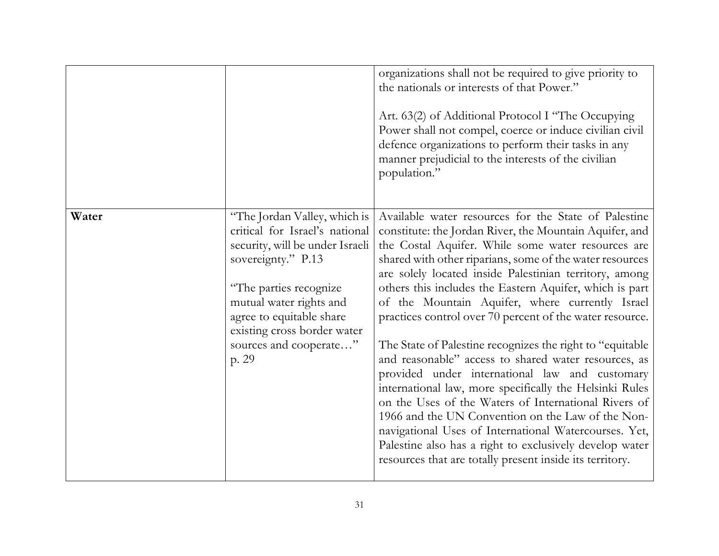|       |                                                                                                                                                                                                                                                                            | organizations shall not be required to give priority to<br>the nationals or interests of that Power."<br>Art. 63(2) of Additional Protocol I "The Occupying<br>Power shall not compel, coerce or induce civilian civil<br>defence organizations to perform their tasks in any<br>manner prejudicial to the interests of the civilian                                                                                                                                                                                                                                                                                                                                                                                                                                                                                                                                                                                                                                                                  |
|-------|----------------------------------------------------------------------------------------------------------------------------------------------------------------------------------------------------------------------------------------------------------------------------|-------------------------------------------------------------------------------------------------------------------------------------------------------------------------------------------------------------------------------------------------------------------------------------------------------------------------------------------------------------------------------------------------------------------------------------------------------------------------------------------------------------------------------------------------------------------------------------------------------------------------------------------------------------------------------------------------------------------------------------------------------------------------------------------------------------------------------------------------------------------------------------------------------------------------------------------------------------------------------------------------------|
|       |                                                                                                                                                                                                                                                                            | population."                                                                                                                                                                                                                                                                                                                                                                                                                                                                                                                                                                                                                                                                                                                                                                                                                                                                                                                                                                                          |
| Water | "The Jordan Valley, which is<br>critical for Israel's national<br>security, will be under Israeli<br>sovereignty." P.13<br>"The parties recognize<br>mutual water rights and<br>agree to equitable share<br>existing cross border water<br>sources and cooperate"<br>p. 29 | Available water resources for the State of Palestine<br>constitute: the Jordan River, the Mountain Aquifer, and<br>the Costal Aquifer. While some water resources are<br>shared with other riparians, some of the water resources<br>are solely located inside Palestinian territory, among<br>others this includes the Eastern Aquifer, which is part<br>of the Mountain Aquifer, where currently Israel<br>practices control over 70 percent of the water resource.<br>The State of Palestine recognizes the right to "equitable"<br>and reasonable" access to shared water resources, as<br>provided under international law and customary<br>international law, more specifically the Helsinki Rules<br>on the Uses of the Waters of International Rivers of<br>1966 and the UN Convention on the Law of the Non-<br>navigational Uses of International Watercourses. Yet,<br>Palestine also has a right to exclusively develop water<br>resources that are totally present inside its territory. |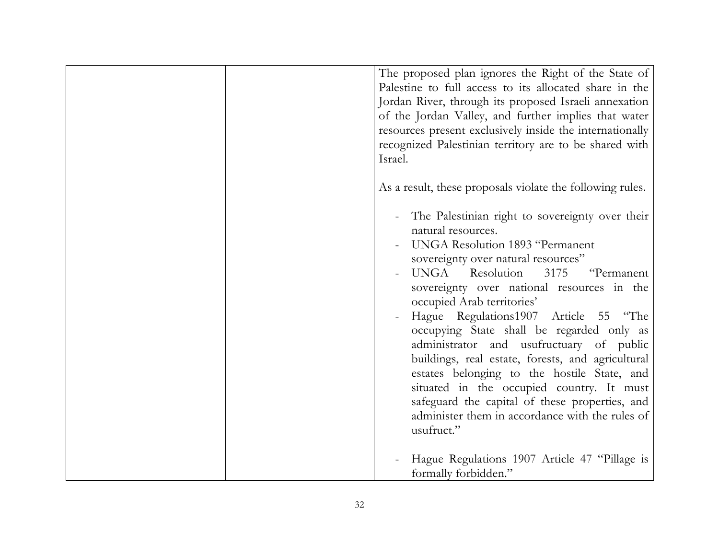| The proposed plan ignores the Right of the State of<br>Palestine to full access to its allocated share in the<br>Jordan River, through its proposed Israeli annexation<br>of the Jordan Valley, and further implies that water<br>resources present exclusively inside the internationally<br>recognized Palestinian territory are to be shared with<br>Israel.                                                                                                                                                                                                                                                                                                            |
|----------------------------------------------------------------------------------------------------------------------------------------------------------------------------------------------------------------------------------------------------------------------------------------------------------------------------------------------------------------------------------------------------------------------------------------------------------------------------------------------------------------------------------------------------------------------------------------------------------------------------------------------------------------------------|
| As a result, these proposals violate the following rules.                                                                                                                                                                                                                                                                                                                                                                                                                                                                                                                                                                                                                  |
| The Palestinian right to sovereignty over their<br>natural resources.<br>UNGA Resolution 1893 "Permanent<br>sovereignty over natural resources"<br>UNGA Resolution<br>3175<br>"Permanent<br>sovereignty over national resources in the<br>occupied Arab territories'<br>Hague Regulations1907 Article 55 "The<br>occupying State shall be regarded only as<br>administrator and usufructuary of public<br>buildings, real estate, forests, and agricultural<br>estates belonging to the hostile State, and<br>situated in the occupied country. It must<br>safeguard the capital of these properties, and<br>administer them in accordance with the rules of<br>usufruct." |
| Hague Regulations 1907 Article 47 "Pillage is<br>formally forbidden."                                                                                                                                                                                                                                                                                                                                                                                                                                                                                                                                                                                                      |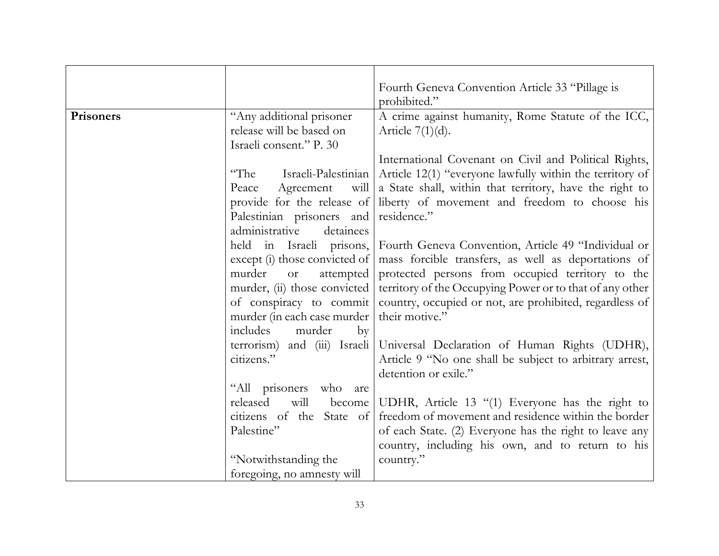|           |                                  | Fourth Geneva Convention Article 33 "Pillage is          |
|-----------|----------------------------------|----------------------------------------------------------|
|           |                                  | prohibited."                                             |
| Prisoners | "Any additional prisoner         | A crime against humanity, Rome Statute of the ICC,       |
|           | release will be based on         | Article $7(1)(d)$ .                                      |
|           | Israeli consent." P. 30          |                                                          |
|           |                                  | International Covenant on Civil and Political Rights,    |
|           | "The<br>Israeli-Palestinian      | Article 12(1) "everyone lawfully within the territory of |
|           | Agreement<br>will<br>Peace       | a State shall, within that territory, have the right to  |
|           | provide for the release of       | liberty of movement and freedom to choose his            |
|           | Palestinian prisoners and        | residence."                                              |
|           | administrative<br>detainees      |                                                          |
|           | held in Israeli prisons,         | Fourth Geneva Convention, Article 49 "Individual or      |
|           | except (i) those convicted of    | mass forcible transfers, as well as deportations of      |
|           | murder<br>attempted<br><b>or</b> | protected persons from occupied territory to the         |
|           | murder, (ii) those convicted     | territory of the Occupying Power or to that of any other |
|           | of conspiracy to commit          | country, occupied or not, are prohibited, regardless of  |
|           | murder (in each case murder      | their motive."                                           |
|           | includes<br>murder<br>by         |                                                          |
|           | terrorism) and (iii) Israeli     | Universal Declaration of Human Rights (UDHR),            |
|           | citizens."                       | Article 9 "No one shall be subject to arbitrary arrest,  |
|           |                                  | detention or exile."                                     |
|           | "All prisoners<br>who<br>are     |                                                          |
|           | released<br>will<br>become       | UDHR, Article 13 "(1) Everyone has the right to          |
|           | citizens of the State of         | freedom of movement and residence within the border      |
|           | Palestine"                       | of each State. (2) Everyone has the right to leave any   |
|           |                                  | country, including his own, and to return to his         |
|           | "Notwithstanding the             | country."                                                |
|           | foregoing, no amnesty will       |                                                          |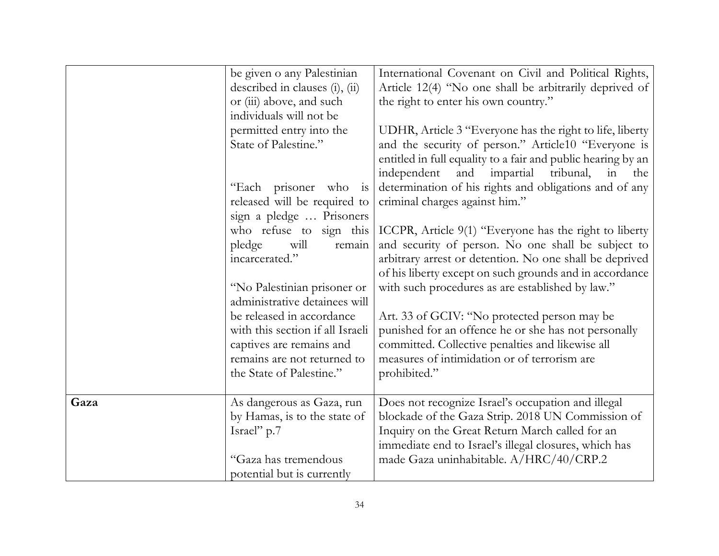|      | be given o any Palestinian       | International Covenant on Civil and Political Rights,        |
|------|----------------------------------|--------------------------------------------------------------|
|      | described in clauses (i), (ii)   | Article 12(4) "No one shall be arbitrarily deprived of       |
|      | or (iii) above, and such         | the right to enter his own country."                         |
|      | individuals will not be          |                                                              |
|      | permitted entry into the         | UDHR, Article 3 "Everyone has the right to life, liberty     |
|      | State of Palestine."             | and the security of person." Article10 "Everyone is          |
|      |                                  | entitled in full equality to a fair and public hearing by an |
|      |                                  | independent<br>and<br>impartial<br>tribunal,<br>in the       |
|      | "Each prisoner who is            | determination of his rights and obligations and of any       |
|      | released will be required to     | criminal charges against him."                               |
|      | sign a pledge  Prisoners         |                                                              |
|      | who refuse to sign this          | ICCPR, Article 9(1) "Everyone has the right to liberty       |
|      | pledge<br>will<br>remain         | and security of person. No one shall be subject to           |
|      | incarcerated."                   | arbitrary arrest or detention. No one shall be deprived      |
|      |                                  | of his liberty except on such grounds and in accordance      |
|      | "No Palestinian prisoner or      | with such procedures as are established by law."             |
|      | administrative detainees will    |                                                              |
|      | be released in accordance        | Art. 33 of GCIV: "No protected person may be                 |
|      | with this section if all Israeli | punished for an offence he or she has not personally         |
|      | captives are remains and         | committed. Collective penalties and likewise all             |
|      | remains are not returned to      | measures of intimidation or of terrorism are                 |
|      | the State of Palestine."         | prohibited."                                                 |
|      |                                  |                                                              |
| Gaza | As dangerous as Gaza, run        | Does not recognize Israel's occupation and illegal           |
|      | by Hamas, is to the state of     | blockade of the Gaza Strip. 2018 UN Commission of            |
|      | Israel" p.7                      | Inquiry on the Great Return March called for an              |
|      |                                  | immediate end to Israel's illegal closures, which has        |
|      | "Gaza has tremendous             | made Gaza uninhabitable. A/HRC/40/CRP.2                      |
|      | potential but is currently       |                                                              |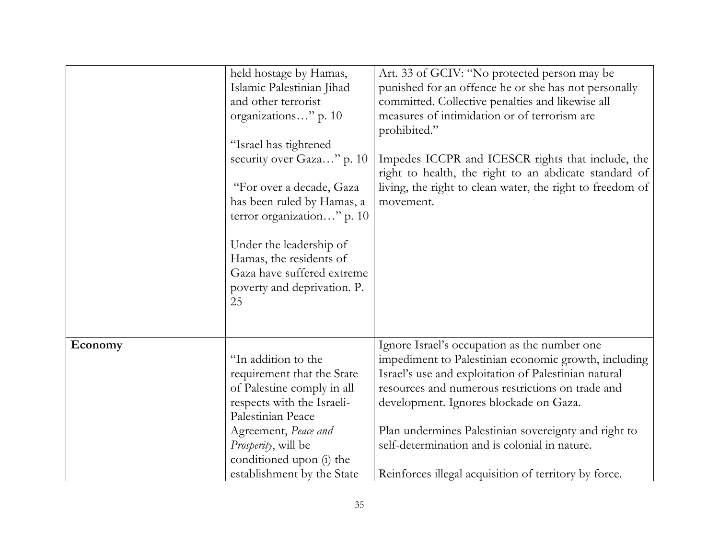|         | held hostage by Hamas,<br>Islamic Palestinian Jihad<br>and other terrorist<br>organizations" p. 10<br>"Israel has tightened<br>security over Gaza" p. 10                                                      | Art. 33 of GCIV: "No protected person may be<br>punished for an offence he or she has not personally<br>committed. Collective penalties and likewise all<br>measures of intimidation or of terrorism are<br>prohibited."<br>Impedes ICCPR and ICESCR rights that include, the                                                                                       |
|---------|---------------------------------------------------------------------------------------------------------------------------------------------------------------------------------------------------------------|---------------------------------------------------------------------------------------------------------------------------------------------------------------------------------------------------------------------------------------------------------------------------------------------------------------------------------------------------------------------|
|         | "For over a decade, Gaza<br>has been ruled by Hamas, a<br>terror organization" p. 10<br>Under the leadership of<br>Hamas, the residents of<br>Gaza have suffered extreme<br>poverty and deprivation. P.<br>25 | right to health, the right to an abdicate standard of<br>living, the right to clean water, the right to freedom of<br>movement.                                                                                                                                                                                                                                     |
| Economy | "In addition to the<br>requirement that the State<br>of Palestine comply in all<br>respects with the Israeli-<br>Palestinian Peace<br>Agreement, Peace and<br>Prosperity, will be<br>conditioned upon (i) the | Ignore Israel's occupation as the number one<br>impediment to Palestinian economic growth, including<br>Israel's use and exploitation of Palestinian natural<br>resources and numerous restrictions on trade and<br>development. Ignores blockade on Gaza.<br>Plan undermines Palestinian sovereignty and right to<br>self-determination and is colonial in nature. |
|         | establishment by the State                                                                                                                                                                                    | Reinforces illegal acquisition of territory by force.                                                                                                                                                                                                                                                                                                               |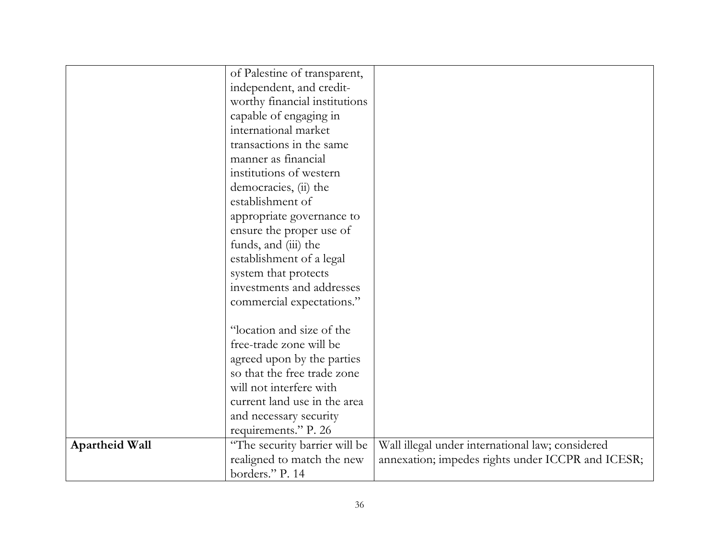|                       | of Palestine of transparent,  |                                                   |
|-----------------------|-------------------------------|---------------------------------------------------|
|                       | independent, and credit-      |                                                   |
|                       |                               |                                                   |
|                       | worthy financial institutions |                                                   |
|                       | capable of engaging in        |                                                   |
|                       | international market          |                                                   |
|                       | transactions in the same      |                                                   |
|                       | manner as financial           |                                                   |
|                       | institutions of western       |                                                   |
|                       | democracies, (ii) the         |                                                   |
|                       | establishment of              |                                                   |
|                       | appropriate governance to     |                                                   |
|                       | ensure the proper use of      |                                                   |
|                       | funds, and (iii) the          |                                                   |
|                       | establishment of a legal      |                                                   |
|                       | system that protects          |                                                   |
|                       | investments and addresses     |                                                   |
|                       | commercial expectations."     |                                                   |
|                       |                               |                                                   |
|                       | "location and size of the     |                                                   |
|                       | free-trade zone will be       |                                                   |
|                       | agreed upon by the parties    |                                                   |
|                       | so that the free trade zone   |                                                   |
|                       | will not interfere with       |                                                   |
|                       | current land use in the area  |                                                   |
|                       | and necessary security        |                                                   |
|                       | requirements." P. 26          |                                                   |
| <b>Apartheid Wall</b> | "The security barrier will be | Wall illegal under international law; considered  |
|                       | realigned to match the new    | annexation; impedes rights under ICCPR and ICESR; |
|                       | borders." P. 14               |                                                   |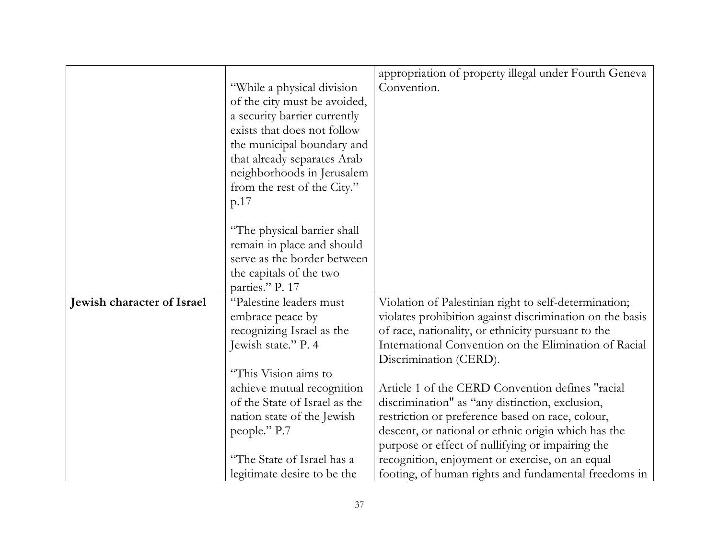|                            |                               | appropriation of property illegal under Fourth Geneva    |
|----------------------------|-------------------------------|----------------------------------------------------------|
|                            | "While a physical division"   | Convention.                                              |
|                            | of the city must be avoided,  |                                                          |
|                            | a security barrier currently  |                                                          |
|                            | exists that does not follow   |                                                          |
|                            |                               |                                                          |
|                            | the municipal boundary and    |                                                          |
|                            | that already separates Arab   |                                                          |
|                            | neighborhoods in Jerusalem    |                                                          |
|                            | from the rest of the City."   |                                                          |
|                            | p.17                          |                                                          |
|                            |                               |                                                          |
|                            | "The physical barrier shall   |                                                          |
|                            | remain in place and should    |                                                          |
|                            | serve as the border between   |                                                          |
|                            | the capitals of the two       |                                                          |
|                            | parties." P. 17               |                                                          |
| Jewish character of Israel | "Palestine leaders must       | Violation of Palestinian right to self-determination;    |
|                            | embrace peace by              | violates prohibition against discrimination on the basis |
|                            | recognizing Israel as the     | of race, nationality, or ethnicity pursuant to the       |
|                            | Jewish state." P. 4           | International Convention on the Elimination of Racial    |
|                            |                               | Discrimination (CERD).                                   |
|                            | "This Vision aims to          |                                                          |
|                            | achieve mutual recognition    | Article 1 of the CERD Convention defines "racial         |
|                            | of the State of Israel as the | discrimination" as "any distinction, exclusion,          |
|                            | nation state of the Jewish    | restriction or preference based on race, colour,         |
|                            | people." P.7                  | descent, or national or ethnic origin which has the      |
|                            |                               | purpose or effect of nullifying or impairing the         |
|                            | "The State of Israel has a    | recognition, enjoyment or exercise, on an equal          |
|                            | legitimate desire to be the   | footing, of human rights and fundamental freedoms in     |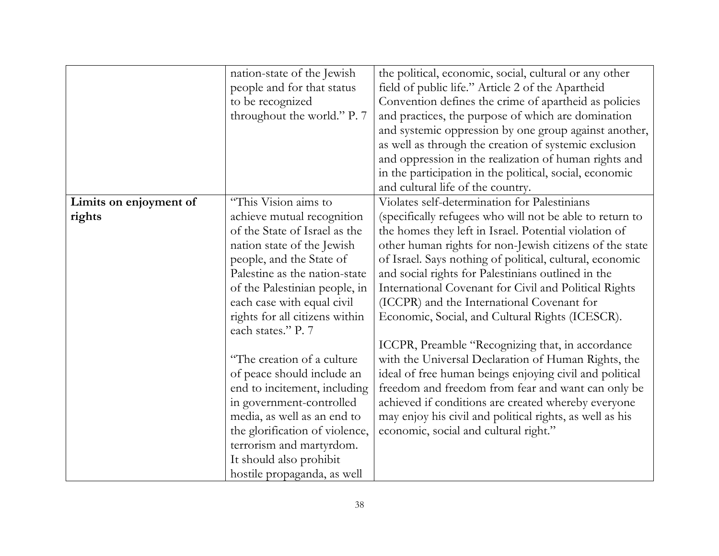|                        | nation-state of the Jewish     | the political, economic, social, cultural or any other   |
|------------------------|--------------------------------|----------------------------------------------------------|
|                        | people and for that status     | field of public life." Article 2 of the Apartheid        |
|                        | to be recognized               | Convention defines the crime of apartheid as policies    |
|                        | throughout the world." P. 7    | and practices, the purpose of which are domination       |
|                        |                                | and systemic oppression by one group against another,    |
|                        |                                | as well as through the creation of systemic exclusion    |
|                        |                                | and oppression in the realization of human rights and    |
|                        |                                | in the participation in the political, social, economic  |
|                        |                                | and cultural life of the country.                        |
| Limits on enjoyment of | "This Vision aims to           | Violates self-determination for Palestinians             |
| rights                 | achieve mutual recognition     | (specifically refugees who will not be able to return to |
|                        | of the State of Israel as the  | the homes they left in Israel. Potential violation of    |
|                        | nation state of the Jewish     | other human rights for non-Jewish citizens of the state  |
|                        | people, and the State of       | of Israel. Says nothing of political, cultural, economic |
|                        | Palestine as the nation-state  | and social rights for Palestinians outlined in the       |
|                        | of the Palestinian people, in  | International Covenant for Civil and Political Rights    |
|                        | each case with equal civil     | (ICCPR) and the International Covenant for               |
|                        | rights for all citizens within | Economic, Social, and Cultural Rights (ICESCR).          |
|                        | each states." P. 7             |                                                          |
|                        |                                | ICCPR, Preamble "Recognizing that, in accordance         |
|                        | "The creation of a culture"    | with the Universal Declaration of Human Rights, the      |
|                        | of peace should include an     | ideal of free human beings enjoying civil and political  |
|                        | end to incitement, including   | freedom and freedom from fear and want can only be       |
|                        | in government-controlled       | achieved if conditions are created whereby everyone      |
|                        | media, as well as an end to    | may enjoy his civil and political rights, as well as his |
|                        | the glorification of violence, | economic, social and cultural right."                    |
|                        | terrorism and martyrdom.       |                                                          |
|                        | It should also prohibit        |                                                          |
|                        | hostile propaganda, as well    |                                                          |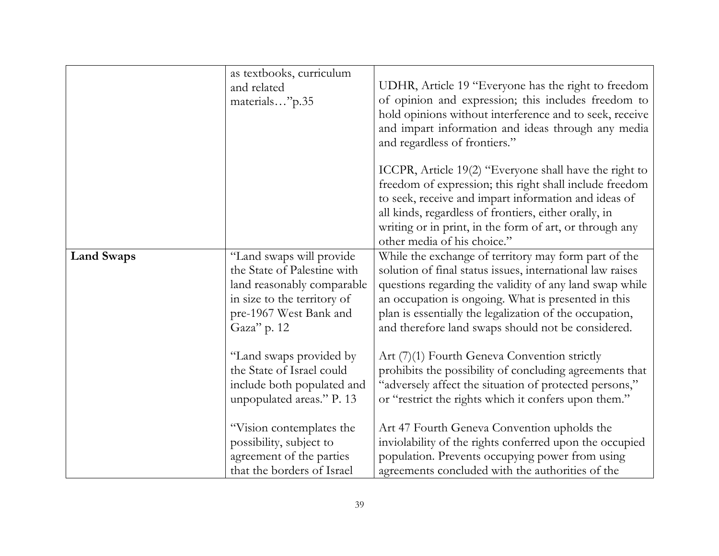|                   | as textbooks, curriculum<br>and related<br>materials"p.35                                                                                                                                                                                                                        | UDHR, Article 19 "Everyone has the right to freedom<br>of opinion and expression; this includes freedom to<br>hold opinions without interference and to seek, receive<br>and impart information and ideas through any media<br>and regardless of frontiers."                                                                                                                                                                                                                                                                                                                      |
|-------------------|----------------------------------------------------------------------------------------------------------------------------------------------------------------------------------------------------------------------------------------------------------------------------------|-----------------------------------------------------------------------------------------------------------------------------------------------------------------------------------------------------------------------------------------------------------------------------------------------------------------------------------------------------------------------------------------------------------------------------------------------------------------------------------------------------------------------------------------------------------------------------------|
|                   |                                                                                                                                                                                                                                                                                  | ICCPR, Article 19(2) "Everyone shall have the right to<br>freedom of expression; this right shall include freedom<br>to seek, receive and impart information and ideas of<br>all kinds, regardless of frontiers, either orally, in<br>writing or in print, in the form of art, or through any<br>other media of his choice."                                                                                                                                                                                                                                                      |
| <b>Land Swaps</b> | "Land swaps will provide<br>the State of Palestine with<br>land reasonably comparable<br>in size to the territory of<br>pre-1967 West Bank and<br>Gaza" p. 12<br>"Land swaps provided by<br>the State of Israel could<br>include both populated and<br>unpopulated areas." P. 13 | While the exchange of territory may form part of the<br>solution of final status issues, international law raises<br>questions regarding the validity of any land swap while<br>an occupation is ongoing. What is presented in this<br>plan is essentially the legalization of the occupation,<br>and therefore land swaps should not be considered.<br>Art (7)(1) Fourth Geneva Convention strictly<br>prohibits the possibility of concluding agreements that<br>"adversely affect the situation of protected persons,"<br>or "restrict the rights which it confers upon them." |
|                   | "Vision contemplates the<br>possibility, subject to<br>agreement of the parties<br>that the borders of Israel                                                                                                                                                                    | Art 47 Fourth Geneva Convention upholds the<br>inviolability of the rights conferred upon the occupied<br>population. Prevents occupying power from using<br>agreements concluded with the authorities of the                                                                                                                                                                                                                                                                                                                                                                     |